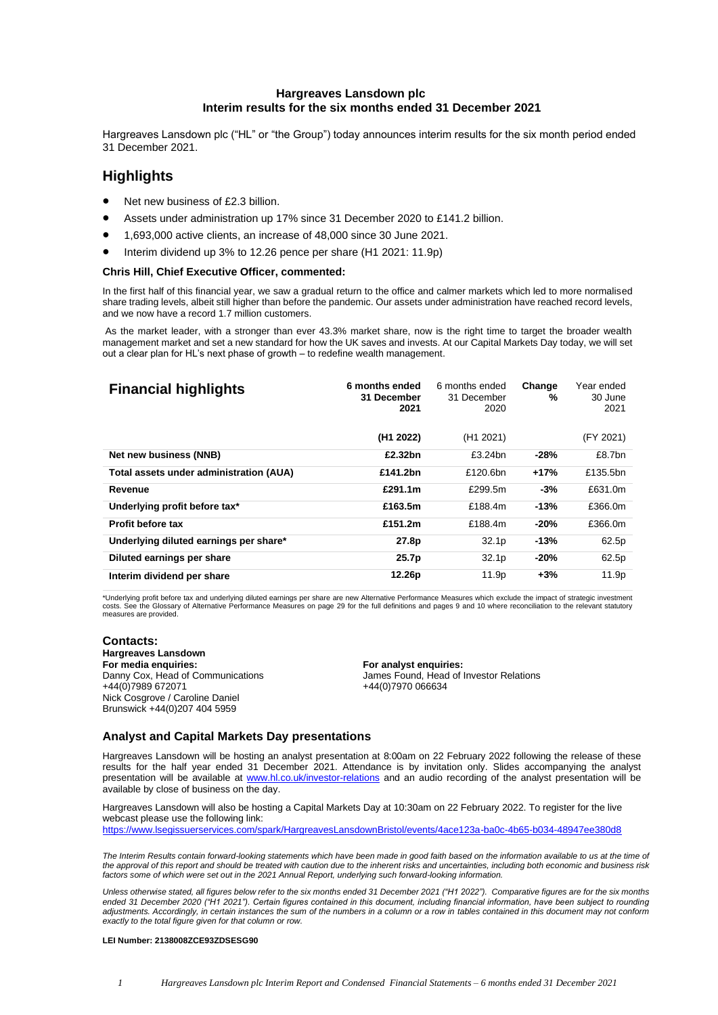### **Hargreaves Lansdown plc Interim results for the six months ended 31 December 2021**

Hargreaves Lansdown plc ("HL" or "the Group") today announces interim results for the six month period ended 31 December 2021.

# **Highlights**

- Net new business of £2.3 billion.
- Assets under administration up 17% since 31 December 2020 to £141.2 billion.
- 1,693,000 active clients, an increase of 48,000 since 30 June 2021.
- Interim dividend up 3% to 12.26 pence per share (H1 2021: 11.9p)

### **Chris Hill, Chief Executive Officer, commented:**

In the first half of this financial year, we saw a gradual return to the office and calmer markets which led to more normalised share trading levels, albeit still higher than before the pandemic. Our assets under administration have reached record levels, and we now have a record 1.7 million customers.

As the market leader, with a stronger than ever 43.3% market share, now is the right time to target the broader wealth management market and set a new standard for how the UK saves and invests. At our Capital Markets Day today, we will set out a clear plan for HL's next phase of growth – to redefine wealth management.

| <b>Financial highlights</b>             | 6 months ended<br>31 December<br>2021 | 6 months ended<br>31 December<br>2020 | Change<br>% | Year ended<br>30 June<br>2021 |
|-----------------------------------------|---------------------------------------|---------------------------------------|-------------|-------------------------------|
|                                         | (H <sub>1</sub> 2022)                 | (H <sub>1</sub> 2021)                 |             | (FY 2021)                     |
| Net new business (NNB)                  | £2.32bn                               | £3.24bn                               | -28%        | £8.7bn                        |
| Total assets under administration (AUA) | £141.2bn                              | £120.6bn                              | $+17%$      | £135.5bn                      |
| Revenue                                 | £291.1m                               | £299.5m                               | $-3%$       | £631.0m                       |
| Underlying profit before tax*           | £163.5m                               | £188.4m                               | -13%        | £366.0m                       |
| <b>Profit before tax</b>                | £151.2m                               | £188.4m                               | $-20%$      | £366.0m                       |
| Underlying diluted earnings per share*  | 27.8p                                 | 32.1 <sub>p</sub>                     | $-13%$      | 62.5p                         |
| Diluted earnings per share              | 25.7p                                 | 32.1 <sub>p</sub>                     | $-20%$      | 62.5p                         |
| Interim dividend per share              | 12.26p                                | 11.9p                                 | $+3%$       | 11.9p                         |

\*Underlying profit before tax and underlying diluted earnings per share are new Alternative Performance Measures which exclude the impact of strategic investment<br>costs. See the Glossary of Alternative Performance Measures measures are provided.

### **Contacts:**

**Hargreaves Lansdown**  Nick Cosgrove / Caroline Daniel Brunswick +44(0)207 404 5959

### **For media enquiries: For analyst enquiries:** Danny Cox, Head of Communications<br>
+44(0)7970 066634<br>
+44(0)7970 066634 +44(0)7970 066634

### **Analyst and Capital Markets Day presentations**

Hargreaves Lansdown will be hosting an analyst presentation at 8:00am on 22 February 2022 following the release of these results for the half year ended 31 December 2021. Attendance is by invitation only. Slides accompanying the analyst presentation will be available at [www.hl.co.uk/investor-relations](http://www.hl.co.uk/investor-relations) and an audio recording of the analyst presentation will be available by close of business on the day.

Hargreaves Lansdown will also be hosting a Capital Markets Day at 10:30am on 22 February 2022. To register for the live webcast please use the following link:

[https://www.lsegissuerservices.com/spark/HargreavesLansdownBristol/events/4ace123a-ba0c-4b65-b034-48947ee380d8](https://gbr01.safelinks.protection.outlook.com/?url=https%3A%2F%2Fwww.lsegissuerservices.com%2Fspark%2FHargreavesLansdownBristol%2Fevents%2F4ace123a-ba0c-4b65-b034-48947ee380d8&data=04%7C01%7Calice.wood%40hl.co.uk%7C33524a4759a04cb4331308d9d7921c6e%7C90578e2dfce84c57a1a62b4909a9dc4d%7C0%7C0%7C637777844832738728%7CUnknown%7CTWFpbGZsb3d8eyJWIjoiMC4wLjAwMDAiLCJQIjoiV2luMzIiLCJBTiI6Ik1haWwiLCJXVCI6Mn0%3D%7C3000&sdata=XoZPD2DJfHvROqyPqC42cZ3vY6T%2BDADSCHmtkkHsz%2Fw%3D&reserved=0)

*The Interim Results contain forward-looking statements which have been made in good faith based on the information available to us at the time of the approval of this report and should be treated with caution due to the inherent risks and uncertainties, including both economic and business risk factors some of which were set out in the 2021 Annual Report, underlying such forward-looking information.*

*Unless otherwise stated, all figures below refer to the six months ended 31 December 2021 ("H1 2022"). Comparative figures are for the six months ended 31 December 2020 ("H1 2021"). Certain figures contained in this document, including financial information, have been subject to rounding adjustments. Accordingly, in certain instances the sum of the numbers in a column or a row in tables contained in this document may not conform exactly to the total figure given for that column or row.*

#### **LEI Number: 2138008ZCE93ZDSESG90**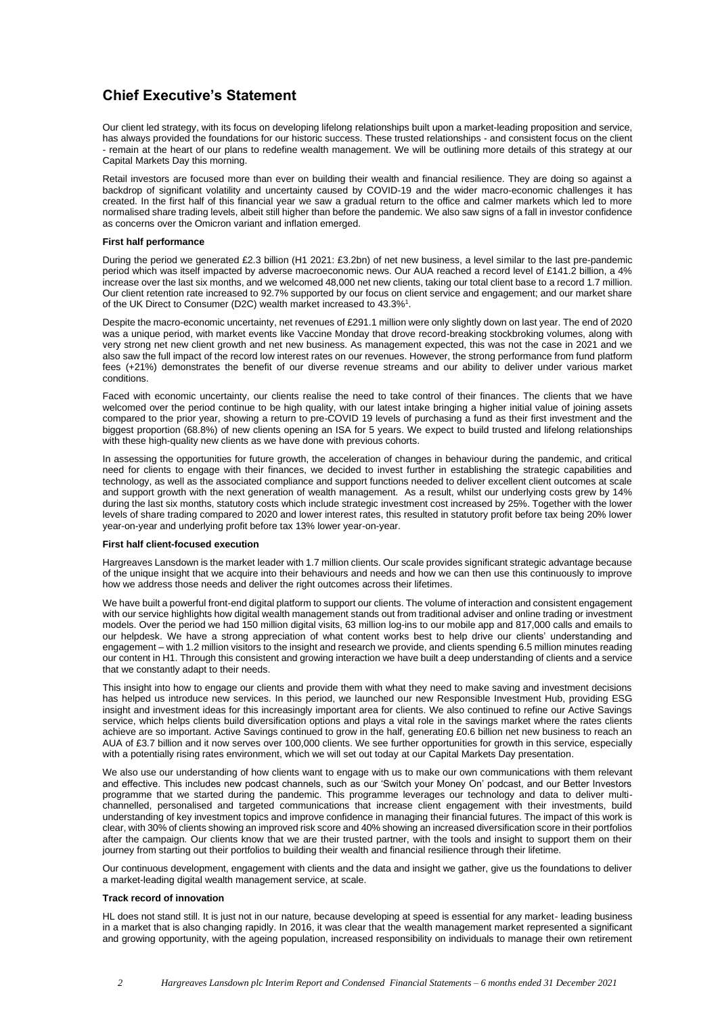# **Chief Executive's Statement**

Our client led strategy, with its focus on developing lifelong relationships built upon a market-leading proposition and service, has always provided the foundations for our historic success. These trusted relationships - and consistent focus on the client - remain at the heart of our plans to redefine wealth management. We will be outlining more details of this strategy at our Capital Markets Day this morning.

Retail investors are focused more than ever on building their wealth and financial resilience. They are doing so against a backdrop of significant volatility and uncertainty caused by COVID-19 and the wider macro-economic challenges it has created. In the first half of this financial year we saw a gradual return to the office and calmer markets which led to more normalised share trading levels, albeit still higher than before the pandemic. We also saw signs of a fall in investor confidence as concerns over the Omicron variant and inflation emerged.

### **First half performance**

During the period we generated £2.3 billion (H1 2021: £3.2bn) of net new business, a level similar to the last pre-pandemic period which was itself impacted by adverse macroeconomic news. Our AUA reached a record level of £141.2 billion, a 4% increase over the last six months, and we welcomed 48,000 net new clients, taking our total client base to a record 1.7 million. Our client retention rate increased to 92.7% supported by our focus on client service and engagement; and our market share of the UK Direct to Consumer (D2C) wealth market increased to 43.3%<sup>1</sup>.

Despite the macro-economic uncertainty, net revenues of £291.1 million were only slightly down on last year. The end of 2020 was a unique period, with market events like Vaccine Monday that drove record-breaking stockbroking volumes, along with very strong net new client growth and net new business. As management expected, this was not the case in 2021 and we also saw the full impact of the record low interest rates on our revenues. However, the strong performance from fund platform fees (+21%) demonstrates the benefit of our diverse revenue streams and our ability to deliver under various market conditions.

Faced with economic uncertainty, our clients realise the need to take control of their finances. The clients that we have welcomed over the period continue to be high quality, with our latest intake bringing a higher initial value of joining assets compared to the prior year, showing a return to pre-COVID 19 levels of purchasing a fund as their first investment and the biggest proportion (68.8%) of new clients opening an ISA for 5 years. We expect to build trusted and lifelong relationships with these high-quality new clients as we have done with previous cohorts.

In assessing the opportunities for future growth, the acceleration of changes in behaviour during the pandemic, and critical need for clients to engage with their finances, we decided to invest further in establishing the strategic capabilities and technology, as well as the associated compliance and support functions needed to deliver excellent client outcomes at scale and support growth with the next generation of wealth management. As a result, whilst our underlying costs grew by 14% during the last six months, statutory costs which include strategic investment cost increased by 25%. Together with the lower levels of share trading compared to 2020 and lower interest rates, this resulted in statutory profit before tax being 20% lower year-on-year and underlying profit before tax 13% lower year-on-year.

### **First half client-focused execution**

Hargreaves Lansdown is the market leader with 1.7 million clients. Our scale provides significant strategic advantage because of the unique insight that we acquire into their behaviours and needs and how we can then use this continuously to improve how we address those needs and deliver the right outcomes across their lifetimes.

We have built a powerful front-end digital platform to support our clients. The volume of interaction and consistent engagement with our service highlights how digital wealth management stands out from traditional adviser and online trading or investment models. Over the period we had 150 million digital visits, 63 million log-ins to our mobile app and 817,000 calls and emails to our helpdesk. We have a strong appreciation of what content works best to help drive our clients' understanding and engagement – with 1.2 million visitors to the insight and research we provide, and clients spending 6.5 million minutes reading our content in H1. Through this consistent and growing interaction we have built a deep understanding of clients and a service that we constantly adapt to their needs.

This insight into how to engage our clients and provide them with what they need to make saving and investment decisions has helped us introduce new services. In this period, we launched our new Responsible Investment Hub, providing ESG insight and investment ideas for this increasingly important area for clients. We also continued to refine our Active Savings service, which helps clients build diversification options and plays a vital role in the savings market where the rates clients achieve are so important. Active Savings continued to grow in the half, generating £0.6 billion net new business to reach an AUA of £3.7 billion and it now serves over 100,000 clients. We see further opportunities for growth in this service, especially with a potentially rising rates environment, which we will set out today at our Capital Markets Day presentation.

We also use our understanding of how clients want to engage with us to make our own communications with them relevant and effective. This includes new podcast channels, such as our 'Switch your Money On' podcast, and our Better Investors programme that we started during the pandemic. This programme leverages our technology and data to deliver multichannelled, personalised and targeted communications that increase client engagement with their investments, build understanding of key investment topics and improve confidence in managing their financial futures. The impact of this work is clear, with 30% of clients showing an improved risk score and 40% showing an increased diversification score in their portfolios after the campaign. Our clients know that we are their trusted partner, with the tools and insight to support them on their journey from starting out their portfolios to building their wealth and financial resilience through their lifetime.

Our continuous development, engagement with clients and the data and insight we gather, give us the foundations to deliver a market-leading digital wealth management service, at scale.

### **Track record of innovation**

HL does not stand still. It is just not in our nature, because developing at speed is essential for any market- leading business in a market that is also changing rapidly. In 2016, it was clear that the wealth management market represented a significant and growing opportunity, with the ageing population, increased responsibility on individuals to manage their own retirement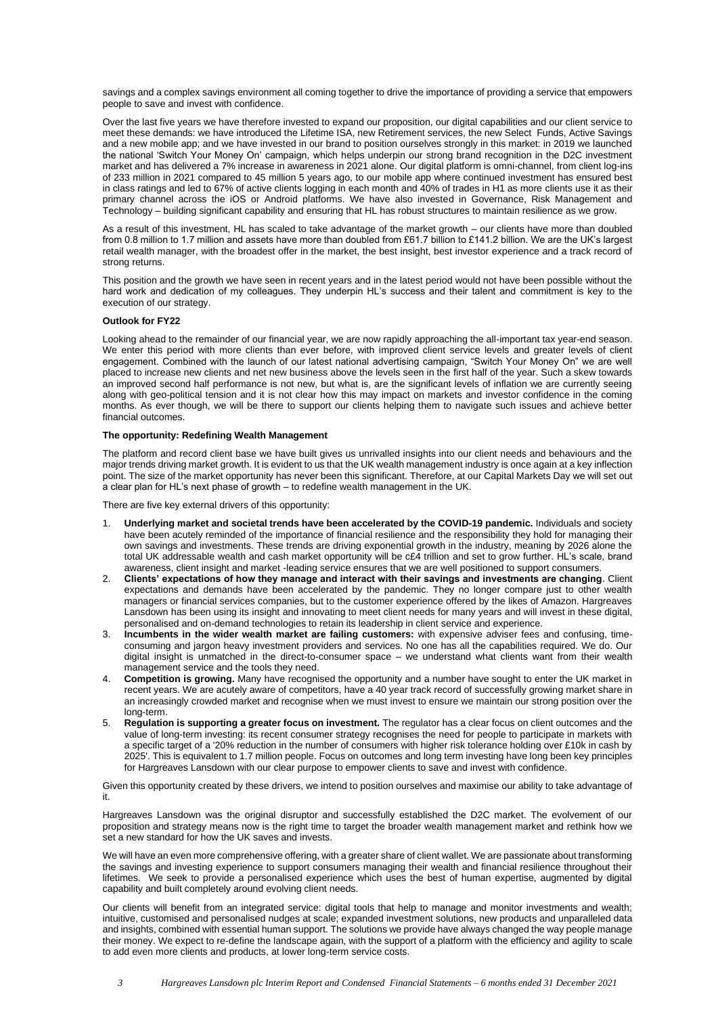savings and a complex savings environment all coming together to drive the importance of providing a service that empowers people to save and invest with confidence.

Over the last five years we have therefore invested to expand our proposition, our digital capabilities and our client service to meet these demands: we have introduced the Lifetime ISA, new Retirement services, the new Select Funds, Active Savings and a new mobile app; and we have invested in our brand to position ourselves strongly in this market: in 2019 we launched the national 'Switch Your Money On' campaign, which helps underpin our strong brand recognition in the D2C investment market and has delivered a 7% increase in awareness in 2021 alone. Our digital platform is omni-channel, from client log-ins of 233 million in 2021 compared to 45 million 5 years ago, to our mobile app where continued investment has ensured best in class ratings and led to 67% of active clients logging in each month and 40% of trades in H1 as more clients use it as their primary channel across the iOS or Android platforms. We have also invested in Governance, Risk Management and Technology – building significant capability and ensuring that HL has robust structures to maintain resilience as we grow.

As a result of this investment, HL has scaled to take advantage of the market growth – our clients have more than doubled from 0.8 million to 1.7 million and assets have more than doubled from £61.7 billion to £141.2 billion. We are the UK's largest retail wealth manager, with the broadest offer in the market, the best insight, best investor experience and a track record of strong returns.

This position and the growth we have seen in recent years and in the latest period would not have been possible without the hard work and dedication of my colleagues. They underpin HL's success and their talent and commitment is key to the execution of our strategy.

### **Outlook for FY22**

Looking ahead to the remainder of our financial year, we are now rapidly approaching the all-important tax year-end season. We enter this period with more clients than ever before, with improved client service levels and greater levels of client engagement. Combined with the launch of our latest national advertising campaign, "Switch Your Money On" we are well placed to increase new clients and net new business above the levels seen in the first half of the year. Such a skew towards an improved second half performance is not new, but what is, are the significant levels of inflation we are currently seeing along with geo-political tension and it is not clear how this may impact on markets and investor confidence in the coming months. As ever though, we will be there to support our clients helping them to navigate such issues and achieve better financial outcomes.

### **The opportunity: Redefining Wealth Management**

The platform and record client base we have built gives us unrivalled insights into our client needs and behaviours and the major trends driving market growth. It is evident to us that the UK wealth management industry is once again at a key inflection point. The size of the market opportunity has never been this significant. Therefore, at our Capital Markets Day we will set out a clear plan for HL's next phase of growth – to redefine wealth management in the UK.

There are five key external drivers of this opportunity:

- 1. **Underlying market and societal trends have been accelerated by the COVID-19 pandemic.** Individuals and society have been acutely reminded of the importance of financial resilience and the responsibility they hold for managing their own savings and investments. These trends are driving exponential growth in the industry, meaning by 2026 alone the total UK addressable wealth and cash market opportunity will be c£4 trillion and set to grow further. HL's scale, brand awareness, client insight and market -leading service ensures that we are well positioned to support consumers.
- 2. **Clients' expectations of how they manage and interact with their savings and investments are changing**. Client expectations and demands have been accelerated by the pandemic. They no longer compare just to other wealth managers or financial services companies, but to the customer experience offered by the likes of Amazon. Hargreaves Lansdown has been using its insight and innovating to meet client needs for many years and will invest in these digital, personalised and on-demand technologies to retain its leadership in client service and experience.
- 3. **Incumbents in the wider wealth market are failing customers:** with expensive adviser fees and confusing, timeconsuming and jargon heavy investment providers and services. No one has all the capabilities required. We do. Our digital insight is unmatched in the direct-to-consumer space – we understand what clients want from their wealth management service and the tools they need.
- 4. **Competition is growing.** Many have recognised the opportunity and a number have sought to enter the UK market in recent years. We are acutely aware of competitors, have a 40 year track record of successfully growing market share in an increasingly crowded market and recognise when we must invest to ensure we maintain our strong position over the long-term.
- 5. **Regulation is supporting a greater focus on investment.** The regulator has a clear focus on client outcomes and the value of long-term investing: its recent consumer strategy recognises the need for people to participate in markets with a specific target of a '20% reduction in the number of consumers with higher risk tolerance holding over £10k in cash by 2025'. This is equivalent to 1.7 million people. Focus on outcomes and long term investing have long been key principles for Hargreaves Lansdown with our clear purpose to empower clients to save and invest with confidence.

Given this opportunity created by these drivers, we intend to position ourselves and maximise our ability to take advantage of it.

Hargreaves Lansdown was the original disruptor and successfully established the D2C market. The evolvement of our proposition and strategy means now is the right time to target the broader wealth management market and rethink how we set a new standard for how the UK saves and invests.

We will have an even more comprehensive offering, with a greater share of client wallet. We are passionate about transforming the savings and investing experience to support consumers managing their wealth and financial resilience throughout their lifetimes. We seek to provide a personalised experience which uses the best of human expertise, augmented by digital capability and built completely around evolving client needs.

Our clients will benefit from an integrated service: digital tools that help to manage and monitor investments and wealth; intuitive, customised and personalised nudges at scale; expanded investment solutions, new products and unparalleled data and insights, combined with essential human support. The solutions we provide have always changed the way people manage their money. We expect to re-define the landscape again, with the support of a platform with the efficiency and agility to scale to add even more clients and products, at lower long-term service costs.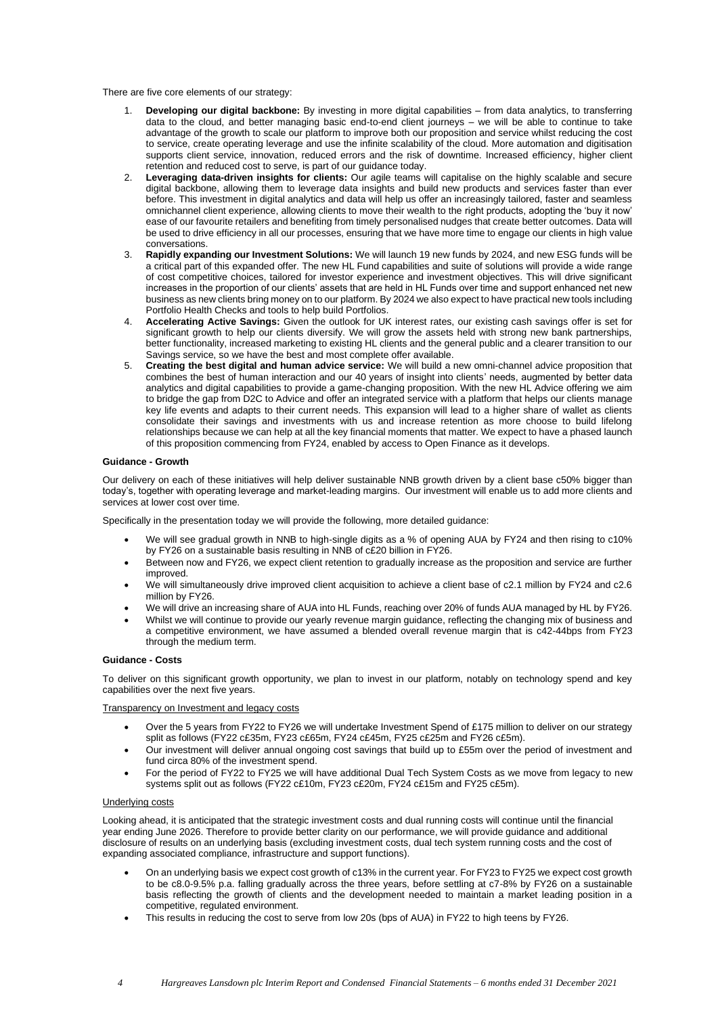There are five core elements of our strategy:

- 1. **Developing our digital backbone:** By investing in more digital capabilities from data analytics, to transferring data to the cloud, and better managing basic end-to-end client journeys – we will be able to continue to take advantage of the growth to scale our platform to improve both our proposition and service whilst reducing the cost to service, create operating leverage and use the infinite scalability of the cloud. More automation and digitisation supports client service, innovation, reduced errors and the risk of downtime. Increased efficiency, higher client retention and reduced cost to serve, is part of our guidance today.
- 2. **Leveraging data-driven insights for clients:** Our agile teams will capitalise on the highly scalable and secure digital backbone, allowing them to leverage data insights and build new products and services faster than ever before. This investment in digital analytics and data will help us offer an increasingly tailored, faster and seamless omnichannel client experience, allowing clients to move their wealth to the right products, adopting the 'buy it now' ease of our favourite retailers and benefiting from timely personalised nudges that create better outcomes. Data will be used to drive efficiency in all our processes, ensuring that we have more time to engage our clients in high value conversations.
- 3. **Rapidly expanding our Investment Solutions:** We will launch 19 new funds by 2024, and new ESG funds will be a critical part of this expanded offer. The new HL Fund capabilities and suite of solutions will provide a wide range of cost competitive choices, tailored for investor experience and investment objectives. This will drive significant increases in the proportion of our clients' assets that are held in HL Funds over time and support enhanced net new business as new clients bring money on to our platform. By 2024 we also expect to have practical new tools including Portfolio Health Checks and tools to help build Portfolios.
- 4. **Accelerating Active Savings:** Given the outlook for UK interest rates, our existing cash savings offer is set for significant growth to help our clients diversify. We will grow the assets held with strong new bank partnerships, better functionality, increased marketing to existing HL clients and the general public and a clearer transition to our Savings service, so we have the best and most complete offer available.
- 5. **Creating the best digital and human advice service:** We will build a new omni-channel advice proposition that combines the best of human interaction and our 40 years of insight into clients' needs, augmented by better data analytics and digital capabilities to provide a game-changing proposition. With the new HL Advice offering we aim to bridge the gap from D2C to Advice and offer an integrated service with a platform that helps our clients manage key life events and adapts to their current needs. This expansion will lead to a higher share of wallet as clients consolidate their savings and investments with us and increase retention as more choose to build lifelong relationships because we can help at all the key financial moments that matter. We expect to have a phased launch of this proposition commencing from FY24, enabled by access to Open Finance as it develops.

### **Guidance - Growth**

Our delivery on each of these initiatives will help deliver sustainable NNB growth driven by a client base c50% bigger than today's, together with operating leverage and market-leading margins. Our investment will enable us to add more clients and services at lower cost over time.

Specifically in the presentation today we will provide the following, more detailed guidance:

- We will see gradual growth in NNB to high-single digits as a % of opening AUA by FY24 and then rising to c10% by FY26 on a sustainable basis resulting in NNB of c£20 billion in FY26.
- Between now and FY26, we expect client retention to gradually increase as the proposition and service are further improved.
- We will simultaneously drive improved client acquisition to achieve a client base of c2.1 million by FY24 and c2.6 million by FY26.
- We will drive an increasing share of AUA into HL Funds, reaching over 20% of funds AUA managed by HL by FY26.
- Whilst we will continue to provide our yearly revenue margin guidance, reflecting the changing mix of business and a competitive environment, we have assumed a blended overall revenue margin that is c42-44bps from FY23 through the medium term.

### **Guidance - Costs**

To deliver on this significant growth opportunity, we plan to invest in our platform, notably on technology spend and key capabilities over the next five years.

### Transparency on Investment and legacy costs

- Over the 5 years from FY22 to FY26 we will undertake Investment Spend of £175 million to deliver on our strategy split as follows (FY22 c£35m, FY23 c£65m, FY24 c£45m, FY25 c£25m and FY26 c£5m).
- Our investment will deliver annual ongoing cost savings that build up to £55m over the period of investment and fund circa 80% of the investment spend.
- For the period of FY22 to FY25 we will have additional Dual Tech System Costs as we move from legacy to new systems split out as follows (FY22 c£10m, FY23 c£20m, FY24 c£15m and FY25 c£5m).

### Underlying costs

Looking ahead, it is anticipated that the strategic investment costs and dual running costs will continue until the financial year ending June 2026. Therefore to provide better clarity on our performance, we will provide guidance and additional disclosure of results on an underlying basis (excluding investment costs, dual tech system running costs and the cost of expanding associated compliance, infrastructure and support functions).

- On an underlying basis we expect cost growth of c13% in the current year. For FY23 to FY25 we expect cost growth to be c8.0-9.5% p.a. falling gradually across the three years, before settling at c7-8% by FY26 on a sustainable basis reflecting the growth of clients and the development needed to maintain a market leading position in a competitive, regulated environment.
- This results in reducing the cost to serve from low 20s (bps of AUA) in FY22 to high teens by FY26.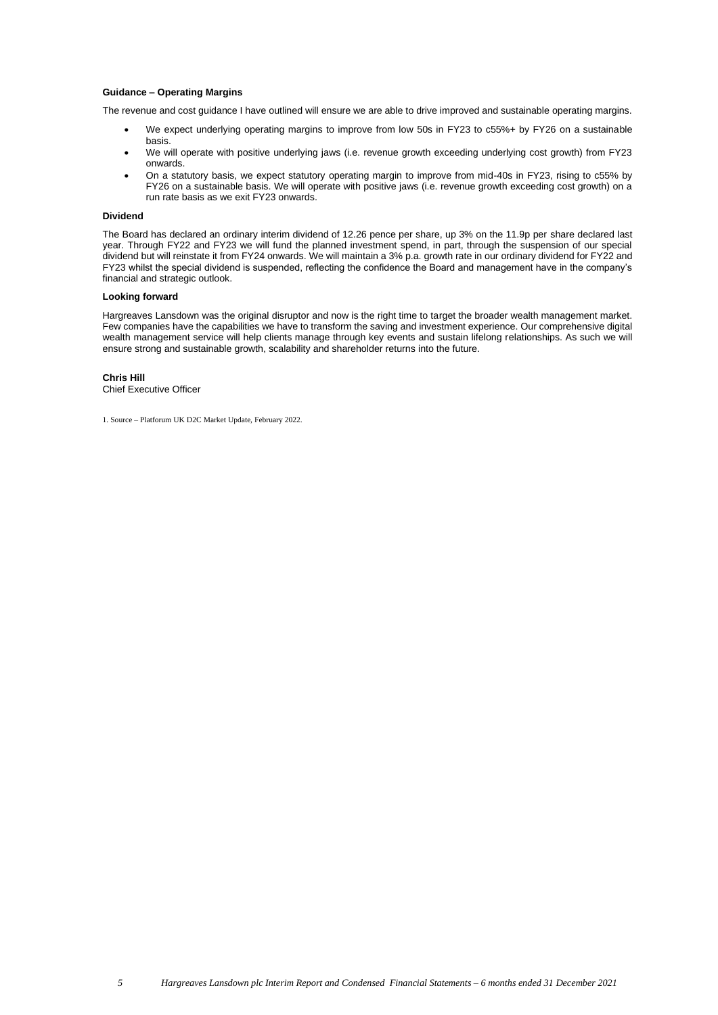### **Guidance – Operating Margins**

The revenue and cost guidance I have outlined will ensure we are able to drive improved and sustainable operating margins.

- We expect underlying operating margins to improve from low 50s in FY23 to c55%+ by FY26 on a sustainable basis.
- We will operate with positive underlying jaws (i.e. revenue growth exceeding underlying cost growth) from FY23 onwards.
- On a statutory basis, we expect statutory operating margin to improve from mid-40s in FY23, rising to c55% by FY26 on a sustainable basis. We will operate with positive jaws (i.e. revenue growth exceeding cost growth) on a run rate basis as we exit FY23 onwards.

### **Dividend**

The Board has declared an ordinary interim dividend of 12.26 pence per share, up 3% on the 11.9p per share declared last year. Through FY22 and FY23 we will fund the planned investment spend, in part, through the suspension of our special dividend but will reinstate it from FY24 onwards. We will maintain a 3% p.a. growth rate in our ordinary dividend for FY22 and FY23 whilst the special dividend is suspended, reflecting the confidence the Board and management have in the company's financial and strategic outlook.

### **Looking forward**

Hargreaves Lansdown was the original disruptor and now is the right time to target the broader wealth management market. Few companies have the capabilities we have to transform the saving and investment experience. Our comprehensive digital wealth management service will help clients manage through key events and sustain lifelong relationships. As such we will ensure strong and sustainable growth, scalability and shareholder returns into the future.

**Chris Hill** Chief Executive Officer

1. Source – Platforum UK D2C Market Update, February 2022.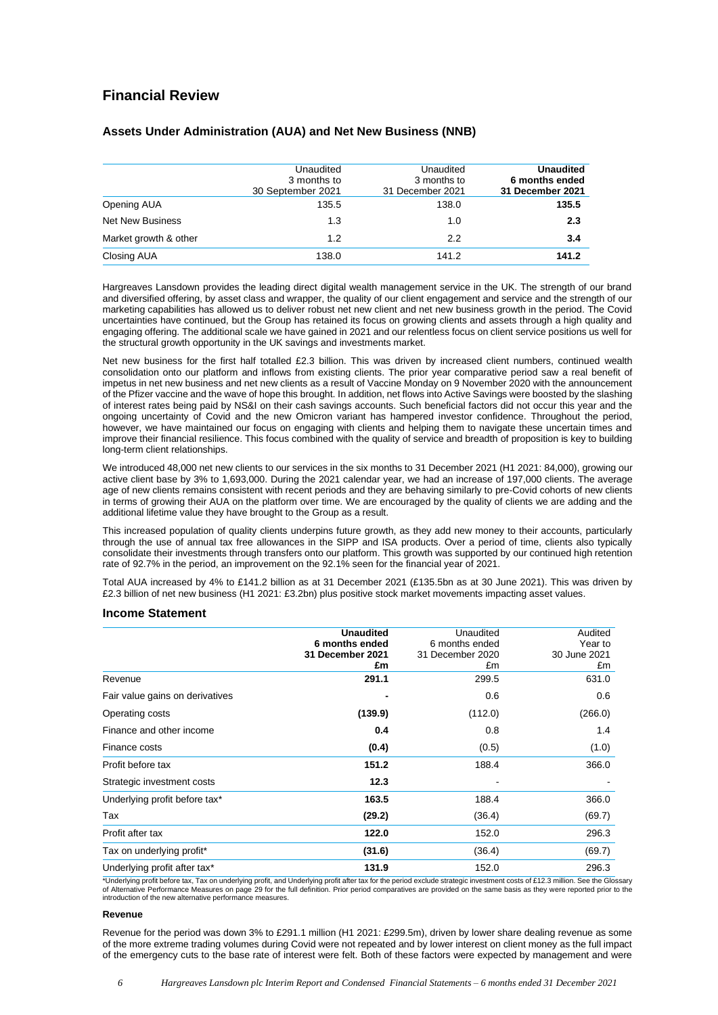# **Financial Review**

|                         | Unaudited<br>3 months to<br>30 September 2021 | Unaudited<br>3 months to<br>31 December 2021 | <b>Unaudited</b><br>6 months ended<br>31 December 2021 |
|-------------------------|-----------------------------------------------|----------------------------------------------|--------------------------------------------------------|
| Opening AUA             | 135.5                                         | 138.0                                        | 135.5                                                  |
| <b>Net New Business</b> | 1.3                                           | 1.0                                          | 2.3                                                    |
| Market growth & other   | 1.2                                           | 2.2                                          | 3.4                                                    |
| Closing AUA             | 138.0                                         | 141.2                                        | 141.2                                                  |

### **Assets Under Administration (AUA) and Net New Business (NNB)**

Hargreaves Lansdown provides the leading direct digital wealth management service in the UK. The strength of our brand and diversified offering, by asset class and wrapper, the quality of our client engagement and service and the strength of our marketing capabilities has allowed us to deliver robust net new client and net new business growth in the period. The Covid uncertainties have continued, but the Group has retained its focus on growing clients and assets through a high quality and engaging offering. The additional scale we have gained in 2021 and our relentless focus on client service positions us well for the structural growth opportunity in the UK savings and investments market.

Net new business for the first half totalled £2.3 billion. This was driven by increased client numbers, continued wealth consolidation onto our platform and inflows from existing clients. The prior year comparative period saw a real benefit of impetus in net new business and net new clients as a result of Vaccine Monday on 9 November 2020 with the announcement of the Pfizer vaccine and the wave of hope this brought. In addition, net flows into Active Savings were boosted by the slashing of interest rates being paid by NS&I on their cash savings accounts. Such beneficial factors did not occur this year and the ongoing uncertainty of Covid and the new Omicron variant has hampered investor confidence. Throughout the period, however, we have maintained our focus on engaging with clients and helping them to navigate these uncertain times and improve their financial resilience. This focus combined with the quality of service and breadth of proposition is key to building long-term client relationships.

We introduced 48,000 net new clients to our services in the six months to 31 December 2021 (H1 2021: 84,000), growing our active client base by 3% to 1,693,000. During the 2021 calendar year, we had an increase of 197,000 clients. The average age of new clients remains consistent with recent periods and they are behaving similarly to pre-Covid cohorts of new clients in terms of growing their AUA on the platform over time. We are encouraged by the quality of clients we are adding and the additional lifetime value they have brought to the Group as a result.

This increased population of quality clients underpins future growth, as they add new money to their accounts, particularly through the use of annual tax free allowances in the SIPP and ISA products. Over a period of time, clients also typically consolidate their investments through transfers onto our platform. This growth was supported by our continued high retention rate of 92.7% in the period, an improvement on the 92.1% seen for the financial year of 2021.

Total AUA increased by 4% to £141.2 billion as at 31 December 2021 (£135.5bn as at 30 June 2021). This was driven by £2.3 billion of net new business (H1 2021: £3.2bn) plus positive stock market movements impacting asset values.

### **Income Statement**

|                                 | <b>Unaudited</b> | Unaudited        | Audited      |
|---------------------------------|------------------|------------------|--------------|
|                                 | 6 months ended   | 6 months ended   | Year to      |
|                                 | 31 December 2021 | 31 December 2020 | 30 June 2021 |
|                                 | £m               | £m               | £m           |
| Revenue                         | 291.1            | 299.5            | 631.0        |
| Fair value gains on derivatives |                  | 0.6              | 0.6          |
| Operating costs                 | (139.9)          | (112.0)          | (266.0)      |
| Finance and other income        | 0.4              | 0.8              | 1.4          |
| Finance costs                   | (0.4)            | (0.5)            | (1.0)        |
| Profit before tax               | 151.2            | 188.4            | 366.0        |
| Strategic investment costs      | 12.3             |                  |              |
| Underlying profit before tax*   | 163.5            | 188.4            | 366.0        |
| Tax                             | (29.2)           | (36.4)           | (69.7)       |
| Profit after tax                | 122.0            | 152.0            | 296.3        |
| Tax on underlying profit*       | (31.6)           | (36.4)           | (69.7)       |
| Underlying profit after tax*    | 131.9            | 152.0            | 296.3        |

\*Underlying profit before tax, Tax on underlying profit, and Underlying profit after tax for the period exclude strategic investment costs of £12.3 million. See the Glossary of Alternative Performance Measures on page 29 for the full definition. Prior period comparatives are provided on the same basis as they were reported prior to the introduction of the new alternative performance measures.

### **Revenue**

Revenue for the period was down 3% to £291.1 million (H1 2021: £299.5m), driven by lower share dealing revenue as some of the more extreme trading volumes during Covid were not repeated and by lower interest on client money as the full impact of the emergency cuts to the base rate of interest were felt. Both of these factors were expected by management and were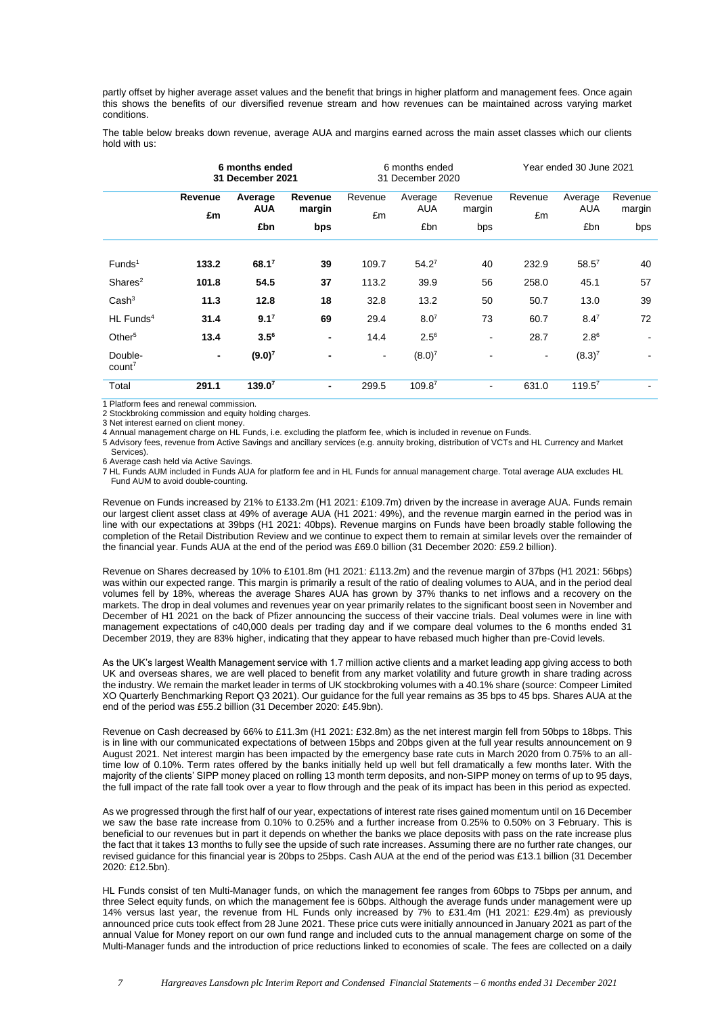partly offset by higher average asset values and the benefit that brings in higher platform and management fees. Once again this shows the benefits of our diversified revenue stream and how revenues can be maintained across varying market conditions.

The table below breaks down revenue, average AUA and margins earned across the main asset classes which our clients hold with us:

|                               | 6 months ended<br>31 December 2021 |                       |                   | 6 months ended<br>31 December 2020 |                       | Year ended 30 June 2021 |                |                       |                   |
|-------------------------------|------------------------------------|-----------------------|-------------------|------------------------------------|-----------------------|-------------------------|----------------|-----------------------|-------------------|
|                               | Revenue<br>£m                      | Average<br><b>AUA</b> | Revenue<br>margin | Revenue<br>£m                      | Average<br><b>AUA</b> | Revenue<br>margin       | Revenue<br>£m  | Average<br><b>AUA</b> | Revenue<br>margin |
|                               |                                    | £bn                   | bps               |                                    | £bn                   | bps                     |                | £bn                   | bps               |
| Funds <sup>1</sup>            | 133.2                              | $68.1^7$              | 39                | 109.7                              | $54.2^7$              | 40                      | 232.9          | $58.5^{7}$            | 40                |
| Shares <sup>2</sup>           | 101.8                              | 54.5                  | 37                | 113.2                              | 39.9                  | 56                      | 258.0          | 45.1                  | 57                |
| Cash <sup>3</sup>             | 11.3                               | 12.8                  | 18                | 32.8                               | 13.2                  | 50                      | 50.7           | 13.0                  | 39                |
| $HL$ Funds <sup>4</sup>       | 31.4                               | 9.1 <sup>7</sup>      | 69                | 29.4                               | 8.0 <sup>7</sup>      | 73                      | 60.7           | $8.4^{7}$             | 72                |
| Other $5$                     | 13.4                               | $3.5^{6}$             | $\blacksquare$    | 14.4                               | $2.5^{6}$             | $\blacksquare$          | 28.7           | $2.8^6$               |                   |
| Double-<br>count <sup>7</sup> | $\blacksquare$                     | $(9.0)^7$             | $\blacksquare$    | $\blacksquare$                     | $(8.0)^7$             | $\blacksquare$          | $\blacksquare$ | $(8.3)^7$             |                   |
| Total                         | 291.1                              | 139.0 <sup>7</sup>    | $\blacksquare$    | 299.5                              | 109.87                | $\blacksquare$          | 631.0          | $119.5^7$             |                   |

1 Platform fees and renewal commission.

2 Stockbroking commission and equity holding charges.

3 Net interest earned on client money.

4 Annual management charge on HL Funds, i.e. excluding the platform fee, which is included in revenue on Funds.

5 Advisory fees, revenue from Active Savings and ancillary services (e.g. annuity broking, distribution of VCTs and HL Currency and Market Services).

6 Average cash held via Active Savings.

7 HL Funds AUM included in Funds AUA for platform fee and in HL Funds for annual management charge. Total average AUA excludes HL Fund AUM to avoid double-counting.

Revenue on Funds increased by 21% to £133.2m (H1 2021: £109.7m) driven by the increase in average AUA. Funds remain our largest client asset class at 49% of average AUA (H1 2021: 49%), and the revenue margin earned in the period was in line with our expectations at 39bps (H1 2021: 40bps). Revenue margins on Funds have been broadly stable following the completion of the Retail Distribution Review and we continue to expect them to remain at similar levels over the remainder of the financial year. Funds AUA at the end of the period was £69.0 billion (31 December 2020: £59.2 billion).

Revenue on Shares decreased by 10% to £101.8m (H1 2021: £113.2m) and the revenue margin of 37bps (H1 2021: 56bps) was within our expected range. This margin is primarily a result of the ratio of dealing volumes to AUA, and in the period deal volumes fell by 18%, whereas the average Shares AUA has grown by 37% thanks to net inflows and a recovery on the markets. The drop in deal volumes and revenues year on year primarily relates to the significant boost seen in November and December of H1 2021 on the back of Pfizer announcing the success of their vaccine trials. Deal volumes were in line with management expectations of c40,000 deals per trading day and if we compare deal volumes to the 6 months ended 31 December 2019, they are 83% higher, indicating that they appear to have rebased much higher than pre-Covid levels.

As the UK's largest Wealth Management service with 1.7 million active clients and a market leading app giving access to both UK and overseas shares, we are well placed to benefit from any market volatility and future growth in share trading across the industry. We remain the market leader in terms of UK stockbroking volumes with a 40.1% share (source: Compeer Limited XO Quarterly Benchmarking Report Q3 2021). Our guidance for the full year remains as 35 bps to 45 bps. Shares AUA at the end of the period was £55.2 billion (31 December 2020: £45.9bn).

Revenue on Cash decreased by 66% to £11.3m (H1 2021: £32.8m) as the net interest margin fell from 50bps to 18bps. This is in line with our communicated expectations of between 15bps and 20bps given at the full year results announcement on 9 August 2021. Net interest margin has been impacted by the emergency base rate cuts in March 2020 from 0.75% to an alltime low of 0.10%. Term rates offered by the banks initially held up well but fell dramatically a few months later. With the majority of the clients' SIPP money placed on rolling 13 month term deposits, and non-SIPP money on terms of up to 95 days, the full impact of the rate fall took over a year to flow through and the peak of its impact has been in this period as expected.

As we progressed through the first half of our year, expectations of interest rate rises gained momentum until on 16 December we saw the base rate increase from 0.10% to 0.25% and a further increase from 0.25% to 0.50% on 3 February. This is beneficial to our revenues but in part it depends on whether the banks we place deposits with pass on the rate increase plus the fact that it takes 13 months to fully see the upside of such rate increases. Assuming there are no further rate changes, our revised guidance for this financial year is 20bps to 25bps. Cash AUA at the end of the period was £13.1 billion (31 December 2020: £12.5bn).

HL Funds consist of ten Multi-Manager funds, on which the management fee ranges from 60bps to 75bps per annum, and three Select equity funds, on which the management fee is 60bps. Although the average funds under management were up 14% versus last year, the revenue from HL Funds only increased by 7% to £31.4m (H1 2021: £29.4m) as previously announced price cuts took effect from 28 June 2021. These price cuts were initially announced in January 2021 as part of the annual Value for Money report on our own fund range and included cuts to the annual management charge on some of the Multi-Manager funds and the introduction of price reductions linked to economies of scale. The fees are collected on a daily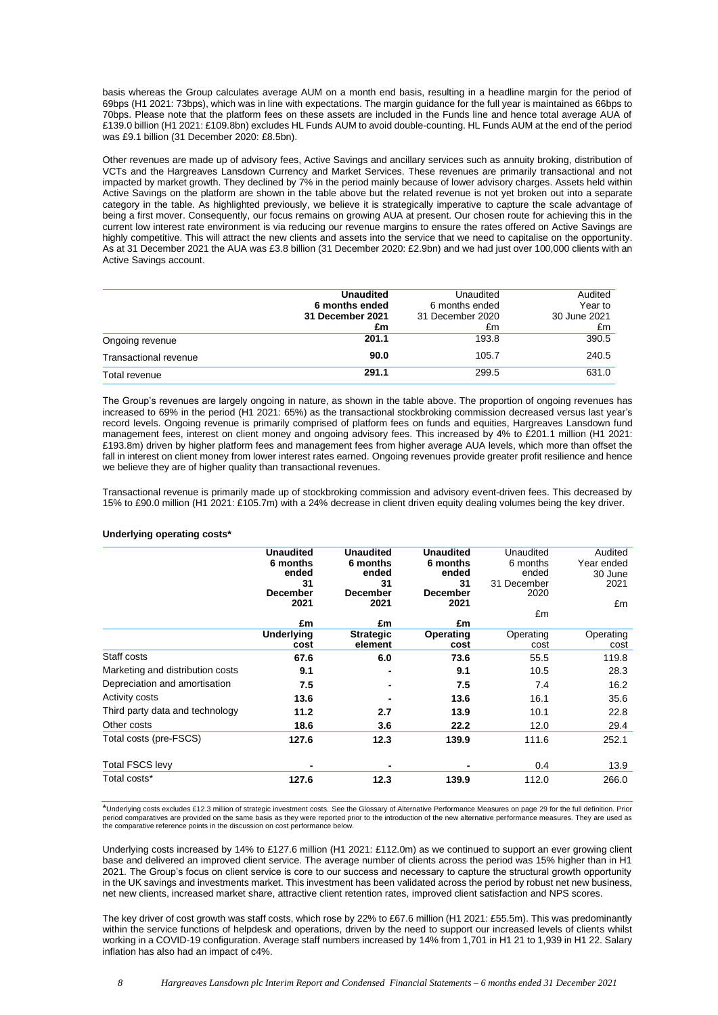basis whereas the Group calculates average AUM on a month end basis, resulting in a headline margin for the period of 69bps (H1 2021: 73bps), which was in line with expectations. The margin guidance for the full year is maintained as 66bps to 70bps. Please note that the platform fees on these assets are included in the Funds line and hence total average AUA of £139.0 billion (H1 2021: £109.8bn) excludes HL Funds AUM to avoid double-counting. HL Funds AUM at the end of the period was £9.1 billion (31 December 2020: £8.5bn).

Other revenues are made up of advisory fees, Active Savings and ancillary services such as annuity broking, distribution of VCTs and the Hargreaves Lansdown Currency and Market Services. These revenues are primarily transactional and not impacted by market growth. They declined by 7% in the period mainly because of lower advisory charges. Assets held within Active Savings on the platform are shown in the table above but the related revenue is not yet broken out into a separate category in the table. As highlighted previously, we believe it is strategically imperative to capture the scale advantage of being a first mover. Consequently, our focus remains on growing AUA at present. Our chosen route for achieving this in the current low interest rate environment is via reducing our revenue margins to ensure the rates offered on Active Savings are highly competitive. This will attract the new clients and assets into the service that we need to capitalise on the opportunity. As at 31 December 2021 the AUA was £3.8 billion (31 December 2020: £2.9bn) and we had just over 100,000 clients with an Active Savings account.

|                       | <b>Unaudited</b> | Unaudited        | Audited      |
|-----------------------|------------------|------------------|--------------|
|                       | 6 months ended   | 6 months ended   | Year to      |
|                       | 31 December 2021 | 31 December 2020 | 30 June 2021 |
|                       | £m               | £m               | £m           |
| Ongoing revenue       | 201.1            | 193.8            | 390.5        |
| Transactional revenue | 90.0             | 105.7            | 240.5        |
| Total revenue         | 291.1            | 299.5            | 631.0        |

The Group's revenues are largely ongoing in nature, as shown in the table above. The proportion of ongoing revenues has increased to 69% in the period (H1 2021: 65%) as the transactional stockbroking commission decreased versus last year's record levels. Ongoing revenue is primarily comprised of platform fees on funds and equities, Hargreaves Lansdown fund management fees, interest on client money and ongoing advisory fees. This increased by 4% to £201.1 million (H1 2021: £193.8m) driven by higher platform fees and management fees from higher average AUA levels, which more than offset the fall in interest on client money from lower interest rates earned. Ongoing revenues provide greater profit resilience and hence we believe they are of higher quality than transactional revenues.

Transactional revenue is primarily made up of stockbroking commission and advisory event-driven fees. This decreased by 15% to £90.0 million (H1 2021: £105.7m) with a 24% decrease in client driven equity dealing volumes being the key driver.

### **Underlying operating costs\***

|                                  | <b>Unaudited</b>          | <b>Unaudited</b>            | <b>Unaudited</b>  | Unaudited         | Audited           |
|----------------------------------|---------------------------|-----------------------------|-------------------|-------------------|-------------------|
|                                  | 6 months                  | 6 months                    | 6 months          | 6 months          | Year ended        |
|                                  | ended                     | ended                       | ended             | ended             | 30 June           |
|                                  | 31                        | 31                          | 31                | 31 December       | 2021              |
|                                  | <b>December</b>           | <b>December</b>             | <b>December</b>   | 2020              |                   |
|                                  | 2021                      | 2021                        | 2021              |                   | £m                |
|                                  | £m                        | £m                          | £m                | £m                |                   |
|                                  |                           |                             |                   |                   |                   |
|                                  | <b>Underlying</b><br>cost | <b>Strategic</b><br>element | Operating<br>cost | Operating<br>cost | Operating<br>cost |
| Staff costs                      | 67.6                      | 6.0                         | 73.6              | 55.5              | 119.8             |
| Marketing and distribution costs | 9.1                       | -                           | 9.1               | 10.5              | 28.3              |
| Depreciation and amortisation    | 7.5                       |                             | 7.5               | 7.4               | 16.2              |
| <b>Activity costs</b>            | 13.6                      |                             | 13.6              | 16.1              | 35.6              |
| Third party data and technology  | 11.2                      | 2.7                         | 13.9              | 10.1              | 22.8              |
| Other costs                      | 18.6                      | 3.6                         | 22.2              | 12.0              | 29.4              |
| Total costs (pre-FSCS)           | 127.6                     | 12.3                        | 139.9             | 111.6             | 252.1             |
| <b>Total FSCS levy</b>           | -                         |                             |                   | 0.4               | 13.9              |
| Total costs*                     | 127.6                     | 12.3                        | 139.9             | 112.0             | 266.0             |

\*Underlying costs excludes £12.3 million of strategic investment costs. See the Glossary of Alternative Performance Measures on page 29 for the full definition. Prior period comparatives are provided on the same basis as they were reported prior to the introduction of the new alternative performance measures. They are used as<br>the comparative reference points in the discussion on cost pe

Underlying costs increased by 14% to £127.6 million (H1 2021: £112.0m) as we continued to support an ever growing client base and delivered an improved client service. The average number of clients across the period was 15% higher than in H1 2021. The Group's focus on client service is core to our success and necessary to capture the structural growth opportunity in the UK savings and investments market. This investment has been validated across the period by robust net new business, net new clients, increased market share, attractive client retention rates, improved client satisfaction and NPS scores.

The key driver of cost growth was staff costs, which rose by 22% to £67.6 million (H1 2021: £55.5m). This was predominantly within the service functions of helpdesk and operations, driven by the need to support our increased levels of clients whilst working in a COVID-19 configuration. Average staff numbers increased by 14% from 1,701 in H1 21 to 1,939 in H1 22. Salary inflation has also had an impact of c4%.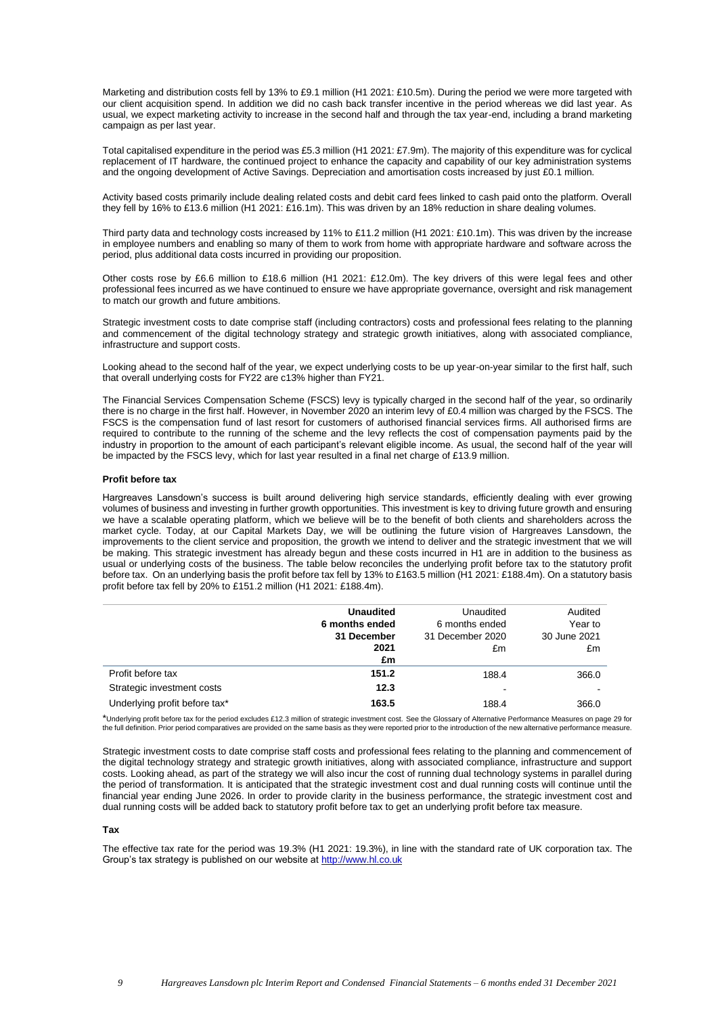Marketing and distribution costs fell by 13% to £9.1 million (H1 2021: £10.5m). During the period we were more targeted with our client acquisition spend. In addition we did no cash back transfer incentive in the period whereas we did last year. As usual, we expect marketing activity to increase in the second half and through the tax year-end, including a brand marketing campaign as per last year.

Total capitalised expenditure in the period was £5.3 million (H1 2021: £7.9m). The majority of this expenditure was for cyclical replacement of IT hardware, the continued project to enhance the capacity and capability of our key administration systems and the ongoing development of Active Savings. Depreciation and amortisation costs increased by just £0.1 million.

Activity based costs primarily include dealing related costs and debit card fees linked to cash paid onto the platform. Overall they fell by 16% to £13.6 million (H1 2021: £16.1m). This was driven by an 18% reduction in share dealing volumes.

Third party data and technology costs increased by 11% to £11.2 million (H1 2021: £10.1m). This was driven by the increase in employee numbers and enabling so many of them to work from home with appropriate hardware and software across the period, plus additional data costs incurred in providing our proposition.

Other costs rose by £6.6 million to £18.6 million (H1 2021: £12.0m). The key drivers of this were legal fees and other professional fees incurred as we have continued to ensure we have appropriate governance, oversight and risk management to match our growth and future ambitions.

Strategic investment costs to date comprise staff (including contractors) costs and professional fees relating to the planning and commencement of the digital technology strategy and strategic growth initiatives, along with associated compliance, infrastructure and support costs.

Looking ahead to the second half of the year, we expect underlying costs to be up year-on-year similar to the first half, such that overall underlying costs for FY22 are c13% higher than FY21.

The Financial Services Compensation Scheme (FSCS) levy is typically charged in the second half of the year, so ordinarily there is no charge in the first half. However, in November 2020 an interim levy of £0.4 million was charged by the FSCS. The FSCS is the compensation fund of last resort for customers of authorised financial services firms. All authorised firms are required to contribute to the running of the scheme and the levy reflects the cost of compensation payments paid by the industry in proportion to the amount of each participant's relevant eligible income. As usual, the second half of the year will be impacted by the FSCS levy, which for last year resulted in a final net charge of £13.9 million.

### **Profit before tax**

Hargreaves Lansdown's success is built around delivering high service standards, efficiently dealing with ever growing volumes of business and investing in further growth opportunities. This investment is key to driving future growth and ensuring we have a scalable operating platform, which we believe will be to the benefit of both clients and shareholders across the market cycle. Today, at our Capital Markets Day, we will be outlining the future vision of Hargreaves Lansdown, the improvements to the client service and proposition, the growth we intend to deliver and the strategic investment that we will be making. This strategic investment has already begun and these costs incurred in H1 are in addition to the business as usual or underlying costs of the business. The table below reconciles the underlying profit before tax to the statutory profit before tax. On an underlying basis the profit before tax fell by 13% to £163.5 million (H1 2021: £188.4m). On a statutory basis profit before tax fell by 20% to £151.2 million (H1 2021: £188.4m).

|                               | <b>Unaudited</b> | Unaudited        | Audited      |
|-------------------------------|------------------|------------------|--------------|
|                               | 6 months ended   | 6 months ended   | Year to      |
|                               | 31 December      | 31 December 2020 | 30 June 2021 |
|                               | 2021             | £m               | £m           |
|                               | £m               |                  |              |
| Profit before tax             | 151.2            | 188.4            | 366.0        |
| Strategic investment costs    | 12.3             |                  |              |
| Underlying profit before tax* | 163.5            | 188.4            | 366.0        |

\*Underlying profit before tax for the period excludes £12.3 million of strategic investment cost. See the Glossary of Alternative Performance Measures on page 29 for<br>the full definition. Prior period comparatives are provi

Strategic investment costs to date comprise staff costs and professional fees relating to the planning and commencement of the digital technology strategy and strategic growth initiatives, along with associated compliance, infrastructure and support costs. Looking ahead, as part of the strategy we will also incur the cost of running dual technology systems in parallel during the period of transformation. It is anticipated that the strategic investment cost and dual running costs will continue until the financial year ending June 2026. In order to provide clarity in the business performance, the strategic investment cost and dual running costs will be added back to statutory profit before tax to get an underlying profit before tax measure.

### **Tax**

The effective tax rate for the period was 19.3% (H1 2021: 19.3%), in line with the standard rate of UK corporation tax. The Group's tax strategy is published on our website a[t http://www.hl.co.uk](http://www.hl.co.uk/)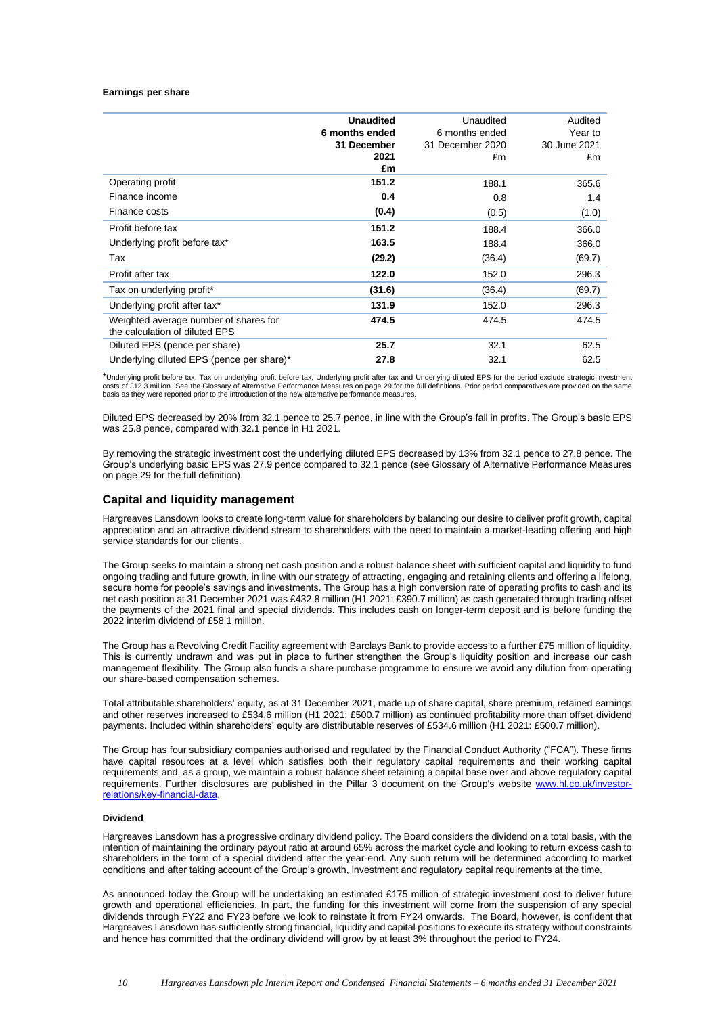#### **Earnings per share**

|                                                                         | <b>Unaudited</b> | Unaudited        | Audited      |
|-------------------------------------------------------------------------|------------------|------------------|--------------|
|                                                                         | 6 months ended   | 6 months ended   | Year to      |
|                                                                         | 31 December      | 31 December 2020 | 30 June 2021 |
|                                                                         | 2021             | £m               | £m           |
|                                                                         | £m               |                  |              |
| Operating profit                                                        | 151.2            | 188.1            | 365.6        |
| Finance income                                                          | 0.4              | 0.8              | 1.4          |
| Finance costs                                                           | (0.4)            | (0.5)            | (1.0)        |
| Profit before tax                                                       | 151.2            | 188.4            | 366.0        |
| Underlying profit before tax*                                           | 163.5            | 188.4            | 366.0        |
| Tax                                                                     | (29.2)           | (36.4)           | (69.7)       |
| Profit after tax                                                        | 122.0            | 152.0            | 296.3        |
| Tax on underlying profit*                                               | (31.6)           | (36.4)           | (69.7)       |
| Underlying profit after tax*                                            | 131.9            | 152.0            | 296.3        |
| Weighted average number of shares for<br>the calculation of diluted EPS | 474.5            | 474.5            | 474.5        |
| Diluted EPS (pence per share)                                           | 25.7             | 32.1             | 62.5         |
| Underlying diluted EPS (pence per share)*                               | 27.8             | 32.1             | 62.5         |

\*Underlying profit before tax, Tax on underlying profit before tax, Underlying profit after tax and Underlying diluted EPS for the period exclude strategic investment costs of £12.3 million. See the Glossary of Alternative Performance Measures on page 29 for the full definitions. Prior period comparatives are provided on the same basis as they were reported prior to the introduction of the new alternative performance measures.

Diluted EPS decreased by 20% from 32.1 pence to 25.7 pence, in line with the Group's fall in profits. The Group's basic EPS was 25.8 pence, compared with 32.1 pence in H1 2021.

By removing the strategic investment cost the underlying diluted EPS decreased by 13% from 32.1 pence to 27.8 pence. The Group's underlying basic EPS was 27.9 pence compared to 32.1 pence (see Glossary of Alternative Performance Measures on page 29 for the full definition).

### **Capital and liquidity management**

Hargreaves Lansdown looks to create long-term value for shareholders by balancing our desire to deliver profit growth, capital appreciation and an attractive dividend stream to shareholders with the need to maintain a market-leading offering and high service standards for our clients.

The Group seeks to maintain a strong net cash position and a robust balance sheet with sufficient capital and liquidity to fund ongoing trading and future growth, in line with our strategy of attracting, engaging and retaining clients and offering a lifelong, secure home for people's savings and investments. The Group has a high conversion rate of operating profits to cash and its net cash position at 31 December 2021 was £432.8 million (H1 2021: £390.7 million) as cash generated through trading offset the payments of the 2021 final and special dividends. This includes cash on longer-term deposit and is before funding the 2022 interim dividend of £58.1 million.

The Group has a Revolving Credit Facility agreement with Barclays Bank to provide access to a further £75 million of liquidity. This is currently undrawn and was put in place to further strengthen the Group's liquidity position and increase our cash management flexibility. The Group also funds a share purchase programme to ensure we avoid any dilution from operating our share-based compensation schemes.

Total attributable shareholders' equity, as at 31 December 2021, made up of share capital, share premium, retained earnings and other reserves increased to £534.6 million (H1 2021: £500.7 million) as continued profitability more than offset dividend payments. Included within shareholders' equity are distributable reserves of £534.6 million (H1 2021: £500.7 million).

The Group has four subsidiary companies authorised and regulated by the Financial Conduct Authority ("FCA"). These firms have capital resources at a level which satisfies both their regulatory capital requirements and their working capital requirements and, as a group, we maintain a robust balance sheet retaining a capital base over and above regulatory capital requirements. Further disclosures are published in the Pillar 3 document on the Group's website [www.hl.co.uk/investor](http://www.hl.co.uk/investor-relations/key-financial-data)[relations/key-financial-data.](http://www.hl.co.uk/investor-relations/key-financial-data)

### **Dividend**

Hargreaves Lansdown has a progressive ordinary dividend policy. The Board considers the dividend on a total basis, with the intention of maintaining the ordinary payout ratio at around 65% across the market cycle and looking to return excess cash to shareholders in the form of a special dividend after the year-end. Any such return will be determined according to market conditions and after taking account of the Group's growth, investment and regulatory capital requirements at the time.

As announced today the Group will be undertaking an estimated £175 million of strategic investment cost to deliver future growth and operational efficiencies. In part, the funding for this investment will come from the suspension of any special dividends through FY22 and FY23 before we look to reinstate it from FY24 onwards. The Board, however, is confident that Hargreaves Lansdown has sufficiently strong financial, liquidity and capital positions to execute its strategy without constraints and hence has committed that the ordinary dividend will grow by at least 3% throughout the period to FY24.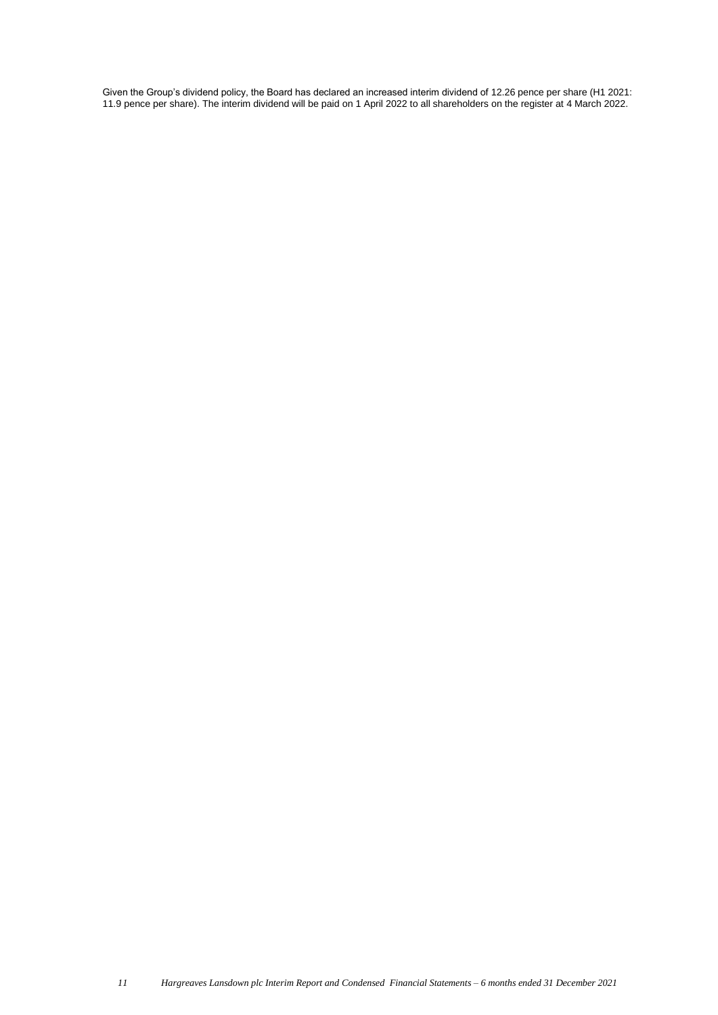Given the Group's dividend policy, the Board has declared an increased interim dividend of 12.26 pence per share (H1 2021: 11.9 pence per share). The interim dividend will be paid on 1 April 2022 to all shareholders on the register at 4 March 2022.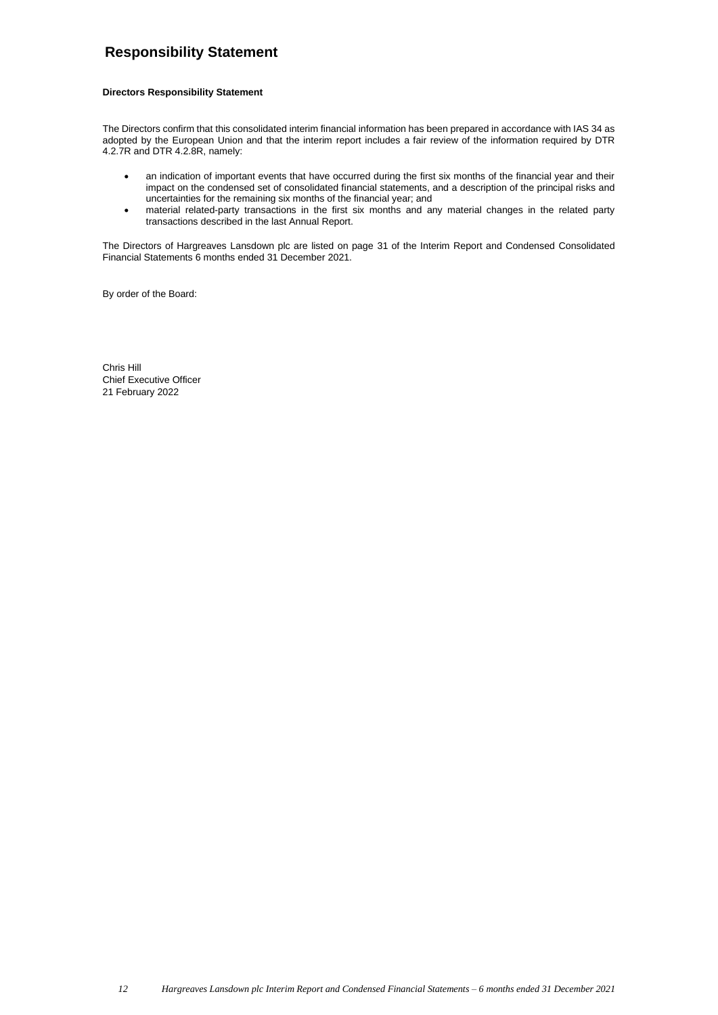# **Responsibility Statement**

### **Directors Responsibility Statement**

The Directors confirm that this consolidated interim financial information has been prepared in accordance with IAS 34 as adopted by the European Union and that the interim report includes a fair review of the information required by DTR 4.2.7R and DTR 4.2.8R, namely:

- an indication of important events that have occurred during the first six months of the financial year and their impact on the condensed set of consolidated financial statements, and a description of the principal risks and uncertainties for the remaining six months of the financial year; and
- material related-party transactions in the first six months and any material changes in the related party transactions described in the last Annual Report.

The Directors of Hargreaves Lansdown plc are listed on page 31 of the Interim Report and Condensed Consolidated Financial Statements 6 months ended 31 December 2021.

By order of the Board:

Chris Hill Chief Executive Officer 21 February 2022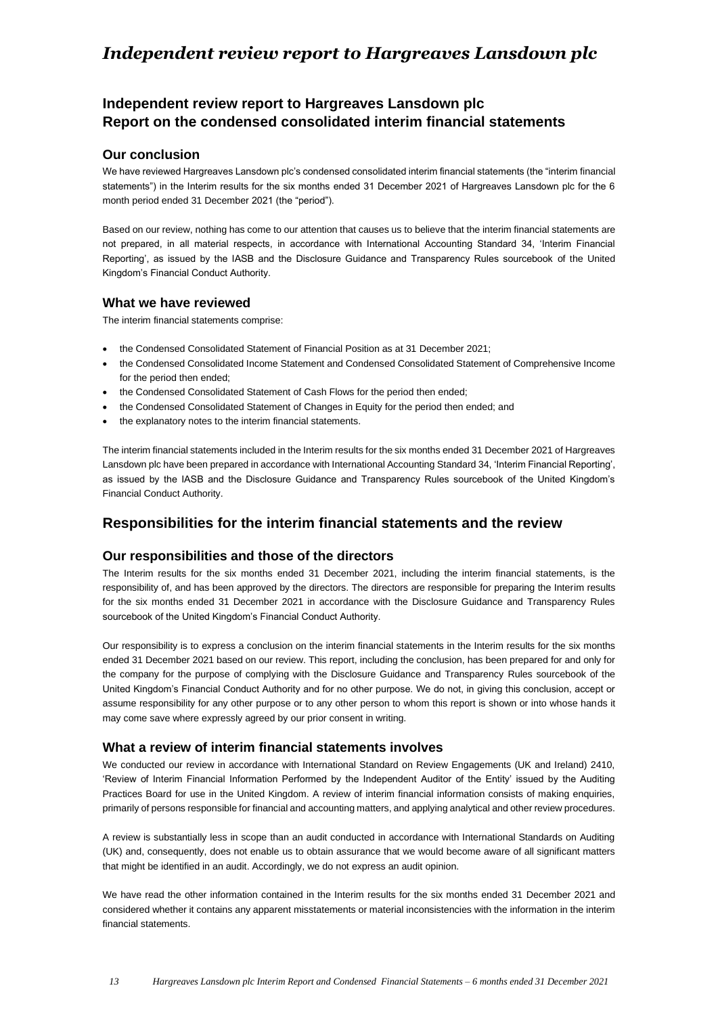# *Independent review report to Hargreaves Lansdown plc*

# **Independent review report to Hargreaves Lansdown plc Report on the condensed consolidated interim financial statements**

# **Our conclusion**

We have reviewed Hargreaves Lansdown plc's condensed consolidated interim financial statements (the "interim financial statements") in the Interim results for the six months ended 31 December 2021 of Hargreaves Lansdown plc for the 6 month period ended 31 December 2021 (the "period").

Based on our review, nothing has come to our attention that causes us to believe that the interim financial statements are not prepared, in all material respects, in accordance with International Accounting Standard 34, 'Interim Financial Reporting', as issued by the IASB and the Disclosure Guidance and Transparency Rules sourcebook of the United Kingdom's Financial Conduct Authority.

# **What we have reviewed**

The interim financial statements comprise:

- the Condensed Consolidated Statement of Financial Position as at 31 December 2021;
- the Condensed Consolidated Income Statement and Condensed Consolidated Statement of Comprehensive Income for the period then ended;
- the Condensed Consolidated Statement of Cash Flows for the period then ended;
- the Condensed Consolidated Statement of Changes in Equity for the period then ended; and
- the explanatory notes to the interim financial statements.

The interim financial statements included in the Interim results for the six months ended 31 December 2021 of Hargreaves Lansdown plc have been prepared in accordance with International Accounting Standard 34, 'Interim Financial Reporting', as issued by the IASB and the Disclosure Guidance and Transparency Rules sourcebook of the United Kingdom's Financial Conduct Authority.

# **Responsibilities for the interim financial statements and the review**

# **Our responsibilities and those of the directors**

The Interim results for the six months ended 31 December 2021, including the interim financial statements, is the responsibility of, and has been approved by the directors. The directors are responsible for preparing the Interim results for the six months ended 31 December 2021 in accordance with the Disclosure Guidance and Transparency Rules sourcebook of the United Kingdom's Financial Conduct Authority.

Our responsibility is to express a conclusion on the interim financial statements in the Interim results for the six months ended 31 December 2021 based on our review. This report, including the conclusion, has been prepared for and only for the company for the purpose of complying with the Disclosure Guidance and Transparency Rules sourcebook of the United Kingdom's Financial Conduct Authority and for no other purpose. We do not, in giving this conclusion, accept or assume responsibility for any other purpose or to any other person to whom this report is shown or into whose hands it may come save where expressly agreed by our prior consent in writing.

### **What a review of interim financial statements involves**

We conducted our review in accordance with International Standard on Review Engagements (UK and Ireland) 2410, 'Review of Interim Financial Information Performed by the Independent Auditor of the Entity' issued by the Auditing Practices Board for use in the United Kingdom. A review of interim financial information consists of making enquiries, primarily of persons responsible for financial and accounting matters, and applying analytical and other review procedures.

A review is substantially less in scope than an audit conducted in accordance with International Standards on Auditing (UK) and, consequently, does not enable us to obtain assurance that we would become aware of all significant matters that might be identified in an audit. Accordingly, we do not express an audit opinion.

We have read the other information contained in the Interim results for the six months ended 31 December 2021 and considered whether it contains any apparent misstatements or material inconsistencies with the information in the interim financial statements.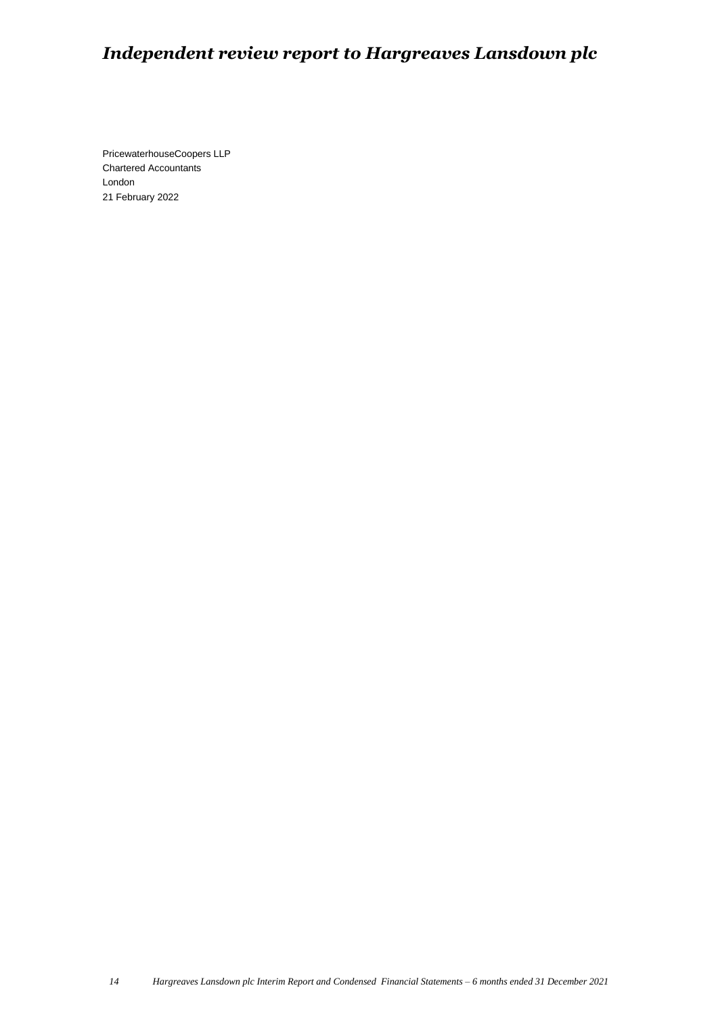# *Independent review report to Hargreaves Lansdown plc*

PricewaterhouseCoopers LLP Chartered Accountants London 21 February 2022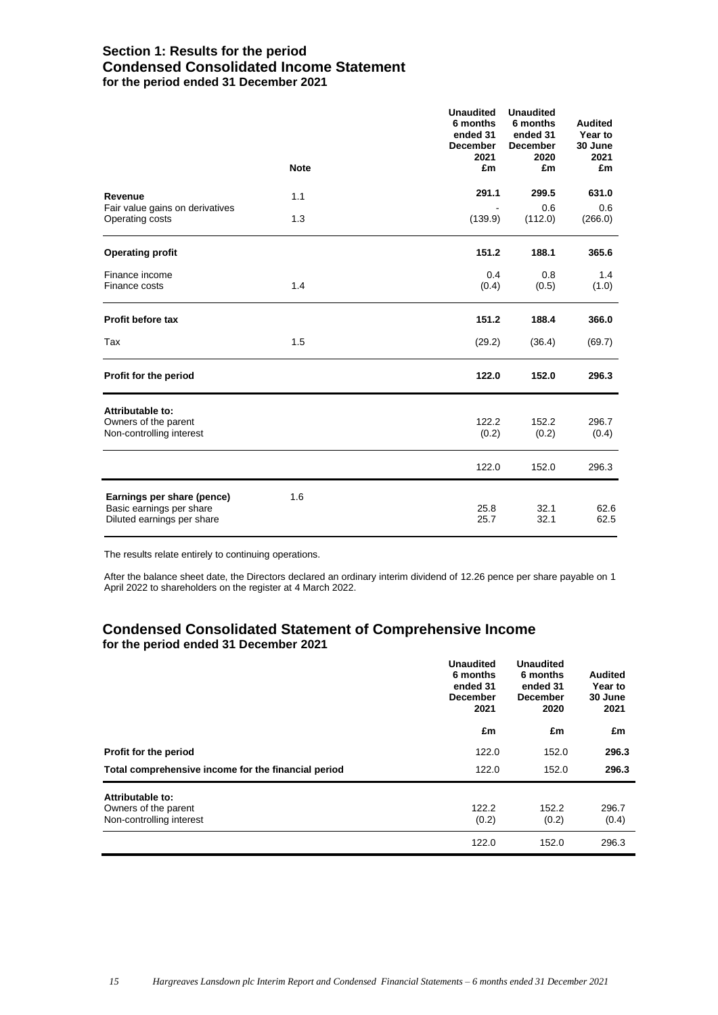# **Section 1: Results for the period Condensed Consolidated Income Statement for the period ended 31 December 2021**

|                                                                                      |             | <b>Unaudited</b><br>6 months<br>ended 31<br><b>December</b><br>2021 | <b>Unaudited</b><br>6 months<br>ended 31<br><b>December</b><br>2020 | <b>Audited</b><br>Year to<br>30 June<br>2021 |
|--------------------------------------------------------------------------------------|-------------|---------------------------------------------------------------------|---------------------------------------------------------------------|----------------------------------------------|
|                                                                                      | <b>Note</b> | £m                                                                  | £m                                                                  | £m                                           |
| Revenue                                                                              | 1.1         | 291.1                                                               | 299.5                                                               | 631.0                                        |
| Fair value gains on derivatives<br>Operating costs                                   | 1.3         | (139.9)                                                             | 0.6<br>(112.0)                                                      | 0.6<br>(266.0)                               |
| <b>Operating profit</b>                                                              |             | 151.2                                                               | 188.1                                                               | 365.6                                        |
| Finance income<br>Finance costs                                                      | 1.4         | 0.4<br>(0.4)                                                        | 0.8<br>(0.5)                                                        | 1.4<br>(1.0)                                 |
| Profit before tax                                                                    |             | 151.2                                                               | 188.4                                                               | 366.0                                        |
| Tax                                                                                  | 1.5         | (29.2)                                                              | (36.4)                                                              | (69.7)                                       |
| Profit for the period                                                                |             | 122.0                                                               | 152.0                                                               | 296.3                                        |
| Attributable to:<br>Owners of the parent<br>Non-controlling interest                 |             | 122.2<br>(0.2)                                                      | 152.2<br>(0.2)                                                      | 296.7<br>(0.4)                               |
|                                                                                      |             | 122.0                                                               | 152.0                                                               | 296.3                                        |
| Earnings per share (pence)<br>Basic earnings per share<br>Diluted earnings per share | 1.6         | 25.8<br>25.7                                                        | 32.1<br>32.1                                                        | 62.6<br>62.5                                 |

The results relate entirely to continuing operations.

After the balance sheet date, the Directors declared an ordinary interim dividend of 12.26 pence per share payable on 1 April 2022 to shareholders on the register at 4 March 2022.

# **Condensed Consolidated Statement of Comprehensive Income for the period ended 31 December 2021**

|                                                     | <b>Unaudited</b><br>6 months<br>ended 31<br><b>December</b><br>2021 | <b>Unaudited</b><br>6 months<br>ended 31<br><b>December</b><br>2020 | <b>Audited</b><br>Year to<br>30 June<br>2021 |
|-----------------------------------------------------|---------------------------------------------------------------------|---------------------------------------------------------------------|----------------------------------------------|
|                                                     | £m                                                                  | £m                                                                  | £m                                           |
| Profit for the period                               | 122.0                                                               | 152.0                                                               | 296.3                                        |
| Total comprehensive income for the financial period | 122.0                                                               | 152.0                                                               | 296.3                                        |
| Attributable to:                                    |                                                                     |                                                                     |                                              |
| Owners of the parent<br>Non-controlling interest    | 122.2<br>(0.2)                                                      | 152.2<br>(0.2)                                                      | 296.7<br>(0.4)                               |
|                                                     | 122.0                                                               | 152.0                                                               | 296.3                                        |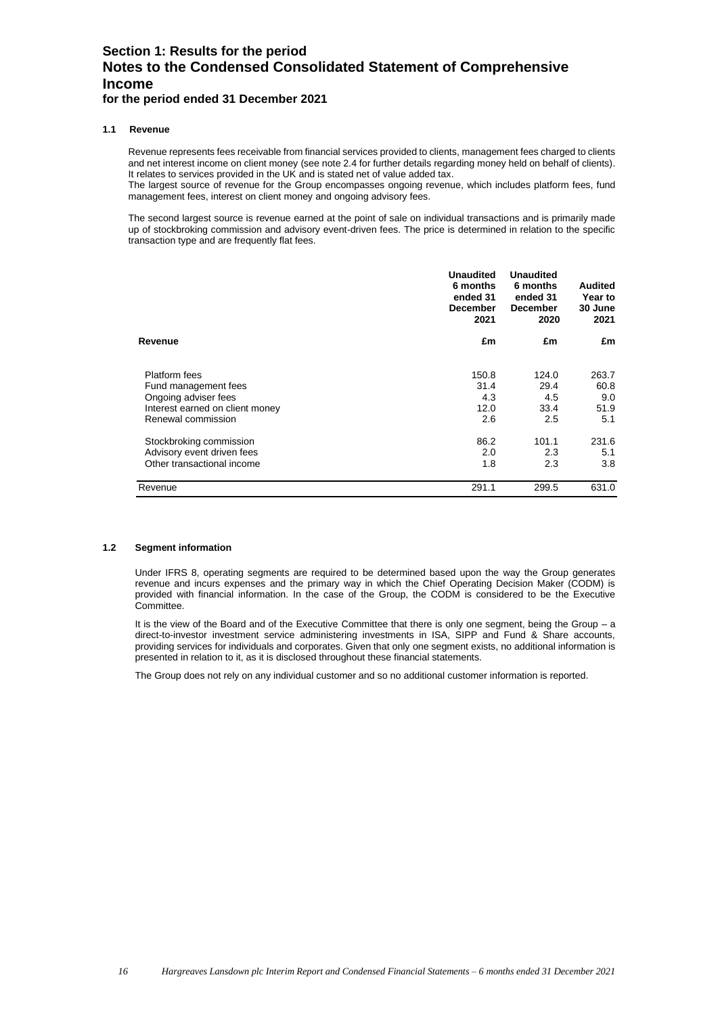# **Section 1: Results for the period Notes to the Condensed Consolidated Statement of Comprehensive Income for the period ended 31 December 2021**

### **1.1 Revenue**

Revenue represents fees receivable from financial services provided to clients, management fees charged to clients and net interest income on client money (see note 2.4 for further details regarding money held on behalf of clients). It relates to services provided in the UK and is stated net of value added tax.

The largest source of revenue for the Group encompasses ongoing revenue, which includes platform fees, fund management fees, interest on client money and ongoing advisory fees.

The second largest source is revenue earned at the point of sale on individual transactions and is primarily made up of stockbroking commission and advisory event-driven fees. The price is determined in relation to the specific transaction type and are frequently flat fees.

|                                                         | <b>Unaudited</b><br>6 months<br>ended 31<br><b>December</b><br>2021 | <b>Unaudited</b><br>6 months<br>ended 31<br><b>December</b><br>2020 | Audited<br><b>Year to</b><br>30 June<br>2021 |
|---------------------------------------------------------|---------------------------------------------------------------------|---------------------------------------------------------------------|----------------------------------------------|
| Revenue                                                 | £m                                                                  | £m                                                                  | £m                                           |
| Platform fees                                           | 150.8                                                               | 124.0                                                               | 263.7                                        |
| Fund management fees                                    | 31.4<br>4.3                                                         | 29.4<br>4.5                                                         | 60.8<br>9.0                                  |
| Ongoing adviser fees<br>Interest earned on client money | 12.0                                                                | 33.4                                                                | 51.9                                         |
| Renewal commission                                      | 2.6                                                                 | 2.5                                                                 | 5.1                                          |
| Stockbroking commission                                 | 86.2                                                                | 101.1                                                               | 231.6                                        |
| Advisory event driven fees                              | 2.0                                                                 | 2.3                                                                 | 5.1                                          |
| Other transactional income                              | 1.8                                                                 | 2.3                                                                 | 3.8                                          |
| Revenue                                                 | 291.1                                                               | 299.5                                                               | 631.0                                        |

### **1.2 Segment information**

Under IFRS 8, operating segments are required to be determined based upon the way the Group generates revenue and incurs expenses and the primary way in which the Chief Operating Decision Maker (CODM) is provided with financial information. In the case of the Group, the CODM is considered to be the Executive Committee.

It is the view of the Board and of the Executive Committee that there is only one segment, being the Group - a direct-to-investor investment service administering investments in ISA, SIPP and Fund & Share accounts, providing services for individuals and corporates. Given that only one segment exists, no additional information is presented in relation to it, as it is disclosed throughout these financial statements.

The Group does not rely on any individual customer and so no additional customer information is reported.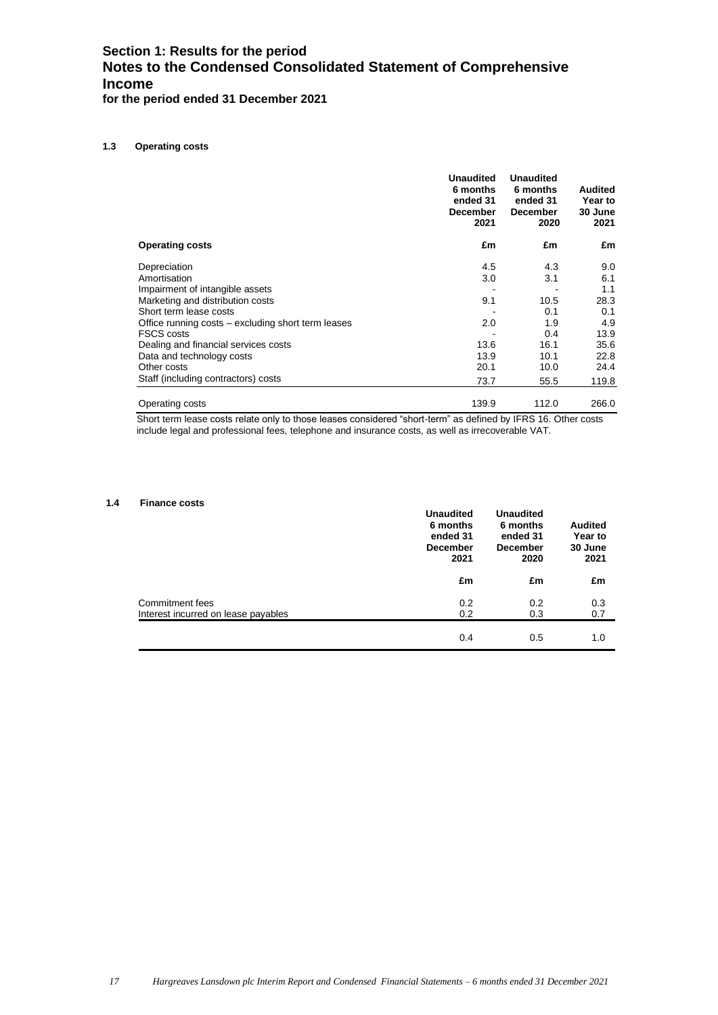# **Section 1: Results for the period Notes to the Condensed Consolidated Statement of Comprehensive Income for the period ended 31 December 2021**

### **1.3 Operating costs**

|                                                    | <b>Unaudited</b><br>6 months<br>ended 31<br><b>December</b><br>2021 | <b>Unaudited</b><br>6 months<br>ended 31<br><b>December</b><br>2020 | Audited<br>Year to<br>30 June<br>2021 |
|----------------------------------------------------|---------------------------------------------------------------------|---------------------------------------------------------------------|---------------------------------------|
| <b>Operating costs</b>                             | £m                                                                  | £m                                                                  | £m                                    |
| Depreciation                                       | 4.5                                                                 | 4.3                                                                 | 9.0                                   |
| Amortisation                                       | 3.0                                                                 | 3.1                                                                 | 6.1                                   |
| Impairment of intangible assets                    |                                                                     |                                                                     | 1.1                                   |
| Marketing and distribution costs                   | 9.1                                                                 | 10.5                                                                | 28.3                                  |
| Short term lease costs                             |                                                                     | 0.1                                                                 | 0.1                                   |
| Office running costs – excluding short term leases | 2.0                                                                 | 1.9                                                                 | 4.9                                   |
| <b>FSCS costs</b>                                  |                                                                     | 0.4                                                                 | 13.9                                  |
| Dealing and financial services costs               | 13.6                                                                | 16.1                                                                | 35.6                                  |
| Data and technology costs                          | 13.9                                                                | 10.1                                                                | 22.8                                  |
| Other costs                                        | 20.1                                                                | 10.0                                                                | 24.4                                  |
| Staff (including contractors) costs                | 73.7                                                                | 55.5                                                                | 119.8                                 |
| Operating costs                                    | 139.9                                                               | 112.0                                                               | 266.0                                 |

Short term lease costs relate only to those leases considered "short-term" as defined by IFRS 16. Other costs include legal and professional fees, telephone and insurance costs, as well as irrecoverable VAT.

### **1.4 Finance costs**

|                                                        | <b>Unaudited</b><br>6 months<br>ended 31<br><b>December</b><br>2021 | <b>Unaudited</b><br>6 months<br>ended 31<br><b>December</b><br>2020 | <b>Audited</b><br>Year to<br>30 June<br>2021 |
|--------------------------------------------------------|---------------------------------------------------------------------|---------------------------------------------------------------------|----------------------------------------------|
|                                                        | £m                                                                  | £m                                                                  | £m                                           |
| Commitment fees<br>Interest incurred on lease payables | 0.2<br>0.2                                                          | 0.2<br>0.3                                                          | 0.3<br>0.7                                   |
|                                                        | 0.4                                                                 | 0.5                                                                 | 1.0                                          |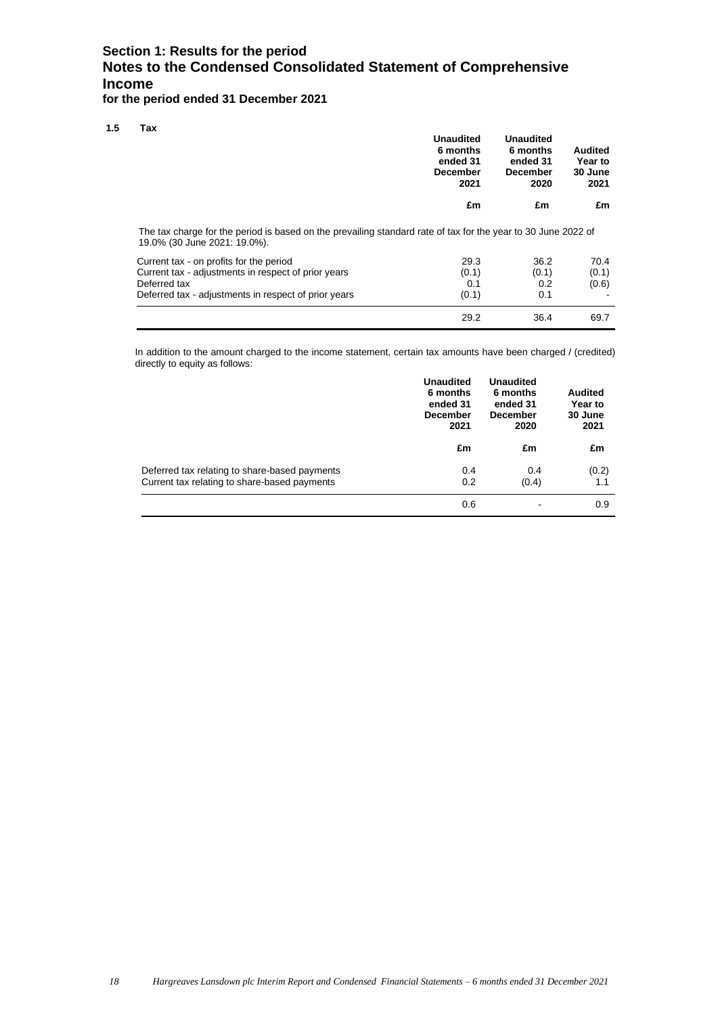# **Section 1: Results for the period Notes to the Condensed Consolidated Statement of Comprehensive Income**

**for the period ended 31 December 2021**

**1.5 Tax**

| .                                                                                                                                             | <b>Unaudited</b><br>6 months<br>ended 31<br><b>December</b><br>2021 | <b>Unaudited</b><br>6 months<br>ended 31<br><b>December</b><br>2020 | <b>Audited</b><br>Year to<br>30 June<br>2021 |
|-----------------------------------------------------------------------------------------------------------------------------------------------|---------------------------------------------------------------------|---------------------------------------------------------------------|----------------------------------------------|
|                                                                                                                                               | £m                                                                  | £m                                                                  | £m                                           |
| The tax charge for the period is based on the prevailing standard rate of tax for the year to 30 June 2022 of<br>19.0% (30 June 2021: 19.0%). |                                                                     |                                                                     |                                              |

|                                                      | 29.2  | 36.4  | 69.7  |
|------------------------------------------------------|-------|-------|-------|
| Deferred tax - adjustments in respect of prior years | (0.1) | 0.1   |       |
| Deferred tax                                         | 0.1   | 0.2   | (0.6) |
| Current tax - adjustments in respect of prior years  | (0.1) | (0.1) | (0.1) |
| Current tax - on profits for the period              | 29.3  | 36.2  | 70.4  |

In addition to the amount charged to the income statement, certain tax amounts have been charged / (credited) directly to equity as follows:

|                                                                                               | <b>Unaudited</b><br>6 months<br>ended 31<br><b>December</b><br>2021 | <b>Unaudited</b><br>6 months<br>ended 31<br><b>December</b><br>2020 | <b>Audited</b><br>Year to<br>30 June<br>2021 |
|-----------------------------------------------------------------------------------------------|---------------------------------------------------------------------|---------------------------------------------------------------------|----------------------------------------------|
|                                                                                               | £m                                                                  | £m                                                                  | £m                                           |
| Deferred tax relating to share-based payments<br>Current tax relating to share-based payments | 0.4<br>0.2                                                          | 0.4<br>(0.4)                                                        | (0.2)<br>1.1                                 |
|                                                                                               | 0.6                                                                 |                                                                     | 0.9                                          |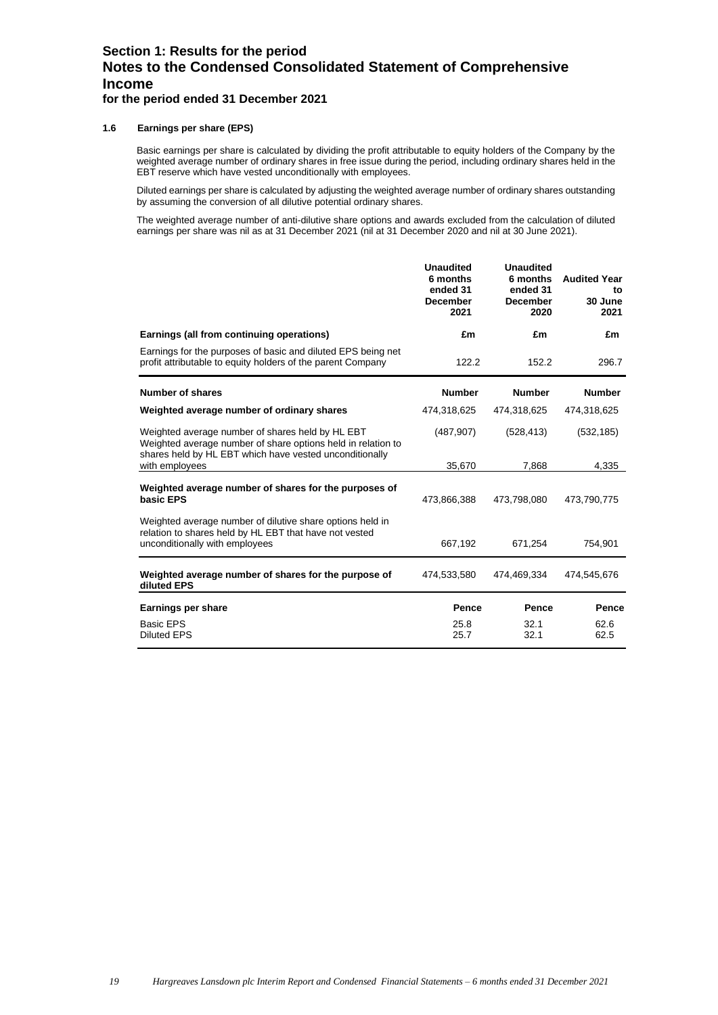# **Section 1: Results for the period Notes to the Condensed Consolidated Statement of Comprehensive Income for the period ended 31 December 2021**

**1.6 Earnings per share (EPS)**

Basic earnings per share is calculated by dividing the profit attributable to equity holders of the Company by the weighted average number of ordinary shares in free issue during the period, including ordinary shares held in the EBT reserve which have vested unconditionally with employees.

Diluted earnings per share is calculated by adjusting the weighted average number of ordinary shares outstanding by assuming the conversion of all dilutive potential ordinary shares.

The weighted average number of anti-dilutive share options and awards excluded from the calculation of diluted earnings per share was nil as at 31 December 2021 (nil at 31 December 2020 and nil at 30 June 2021).

|                                                                                                                                                                             | <b>Unaudited</b><br>6 months<br>ended 31<br><b>December</b><br>2021 | <b>Unaudited</b><br>6 months<br>ended 31<br><b>December</b><br>2020 | <b>Audited Year</b><br>to<br>30 June<br>2021 |
|-----------------------------------------------------------------------------------------------------------------------------------------------------------------------------|---------------------------------------------------------------------|---------------------------------------------------------------------|----------------------------------------------|
| Earnings (all from continuing operations)                                                                                                                                   | £m                                                                  | £m                                                                  | £m                                           |
| Earnings for the purposes of basic and diluted EPS being net<br>profit attributable to equity holders of the parent Company                                                 | 122.2                                                               | 152.2                                                               | 296.7                                        |
| <b>Number of shares</b>                                                                                                                                                     | <b>Number</b>                                                       | <b>Number</b>                                                       | <b>Number</b>                                |
| Weighted average number of ordinary shares                                                                                                                                  | 474,318,625                                                         | 474,318,625                                                         | 474,318,625                                  |
| Weighted average number of shares held by HL EBT<br>Weighted average number of share options held in relation to<br>shares held by HL EBT which have vested unconditionally | (487, 907)                                                          | (528, 413)                                                          | (532, 185)                                   |
| with employees                                                                                                                                                              | 35,670                                                              | 7,868                                                               | 4,335                                        |
| Weighted average number of shares for the purposes of<br>basic EPS                                                                                                          | 473,866,388                                                         | 473,798,080                                                         | 473,790,775                                  |
| Weighted average number of dilutive share options held in<br>relation to shares held by HL EBT that have not vested<br>unconditionally with employees                       | 667,192                                                             | 671,254                                                             | 754,901                                      |
| Weighted average number of shares for the purpose of<br>diluted EPS                                                                                                         | 474,533,580                                                         | 474,469,334                                                         | 474,545,676                                  |
| Earnings per share                                                                                                                                                          | Pence                                                               | Pence                                                               | Pence                                        |
| <b>Basic EPS</b><br><b>Diluted EPS</b>                                                                                                                                      | 25.8<br>25.7                                                        | 32.1<br>32.1                                                        | 62.6<br>62.5                                 |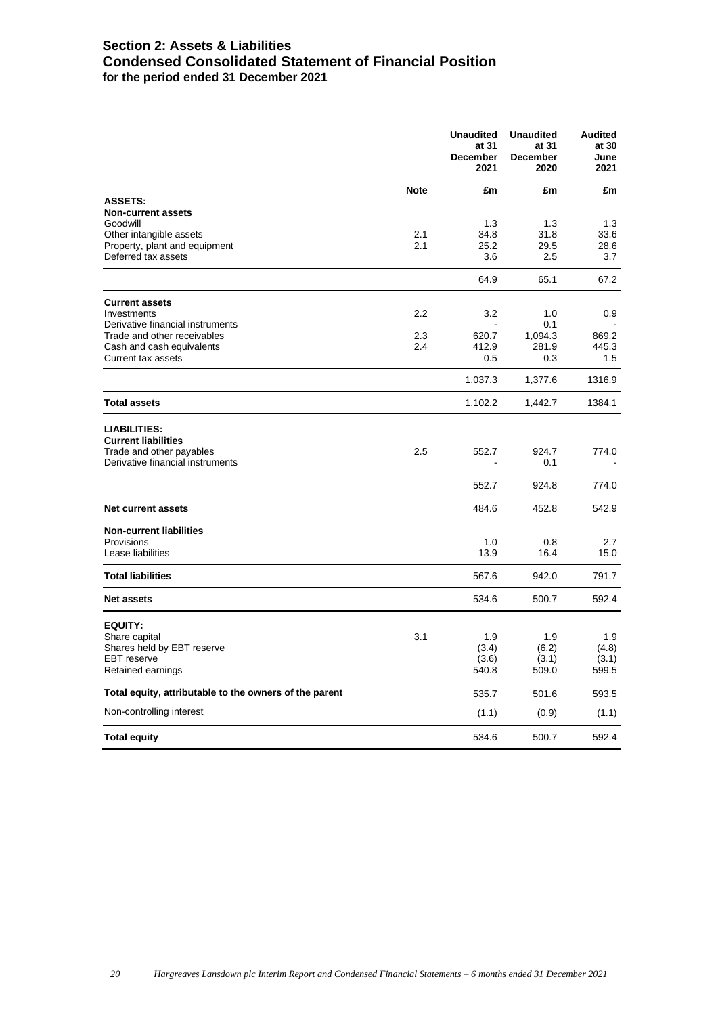# **Section 2: Assets & Liabilities Condensed Consolidated Statement of Financial Position for the period ended 31 December 2021**

|                                                                                                                   |             | <b>Unaudited</b><br>at 31<br><b>December</b><br>2021 | <b>Unaudited</b><br>at 31<br><b>December</b><br>2020 | <b>Audited</b><br>at 30<br>June<br>2021 |
|-------------------------------------------------------------------------------------------------------------------|-------------|------------------------------------------------------|------------------------------------------------------|-----------------------------------------|
|                                                                                                                   | <b>Note</b> | £m                                                   | £m                                                   | £m                                      |
| <b>ASSETS:</b><br><b>Non-current assets</b>                                                                       |             |                                                      |                                                      |                                         |
| Goodwill                                                                                                          |             | 1.3                                                  | 1.3                                                  | 1.3                                     |
| Other intangible assets                                                                                           | 2.1         | 34.8                                                 | 31.8                                                 | 33.6                                    |
| Property, plant and equipment                                                                                     | 2.1         | 25.2                                                 | 29.5                                                 | 28.6                                    |
| Deferred tax assets                                                                                               |             | 3.6                                                  | 2.5                                                  | 3.7                                     |
|                                                                                                                   |             | 64.9                                                 | 65.1                                                 | 67.2                                    |
| <b>Current assets</b>                                                                                             |             |                                                      |                                                      |                                         |
| Investments                                                                                                       | 2.2         | 3.2                                                  | 1.0                                                  | 0.9                                     |
| Derivative financial instruments<br>Trade and other receivables                                                   | 2.3         | 620.7                                                | 0.1<br>1,094.3                                       | 869.2                                   |
| Cash and cash equivalents                                                                                         | 2.4         | 412.9                                                | 281.9                                                | 445.3                                   |
| Current tax assets                                                                                                |             | 0.5                                                  | 0.3                                                  | 1.5                                     |
|                                                                                                                   |             | 1,037.3                                              | 1,377.6                                              | 1316.9                                  |
| <b>Total assets</b>                                                                                               |             | 1,102.2                                              | 1,442.7                                              | 1384.1                                  |
| <b>LIABILITIES:</b><br><b>Current liabilities</b><br>Trade and other payables<br>Derivative financial instruments | 2.5         | 552.7<br>$\overline{a}$                              | 924.7<br>0.1                                         | 774.0                                   |
|                                                                                                                   |             | 552.7                                                | 924.8                                                | 774.0                                   |
|                                                                                                                   |             |                                                      |                                                      |                                         |
| Net current assets                                                                                                |             | 484.6                                                | 452.8                                                | 542.9                                   |
| <b>Non-current liabilities</b>                                                                                    |             |                                                      |                                                      |                                         |
| Provisions<br>Lease liabilities                                                                                   |             | 1.0                                                  | 0.8                                                  | 2.7                                     |
|                                                                                                                   |             | 13.9                                                 | 16.4                                                 | 15.0                                    |
| <b>Total liabilities</b>                                                                                          |             | 567.6                                                | 942.0                                                | 791.7                                   |
| <b>Net assets</b>                                                                                                 |             | 534.6                                                | 500.7                                                | 592.4                                   |
| <b>EQUITY:</b>                                                                                                    |             |                                                      |                                                      |                                         |
| Share capital                                                                                                     | 3.1         | 1.9                                                  | 1.9                                                  | 1.9                                     |
| Shares held by EBT reserve                                                                                        |             | (3.4)                                                | (6.2)                                                | (4.8)                                   |
| <b>EBT</b> reserve<br>Retained earnings                                                                           |             | (3.6)<br>540.8                                       | (3.1)<br>509.0                                       | (3.1)<br>599.5                          |
|                                                                                                                   |             |                                                      |                                                      |                                         |
| Total equity, attributable to the owners of the parent                                                            |             | 535.7                                                | 501.6                                                | 593.5                                   |
| Non-controlling interest                                                                                          |             | (1.1)                                                | (0.9)                                                | (1.1)                                   |
| <b>Total equity</b>                                                                                               |             | 534.6                                                | 500.7                                                | 592.4                                   |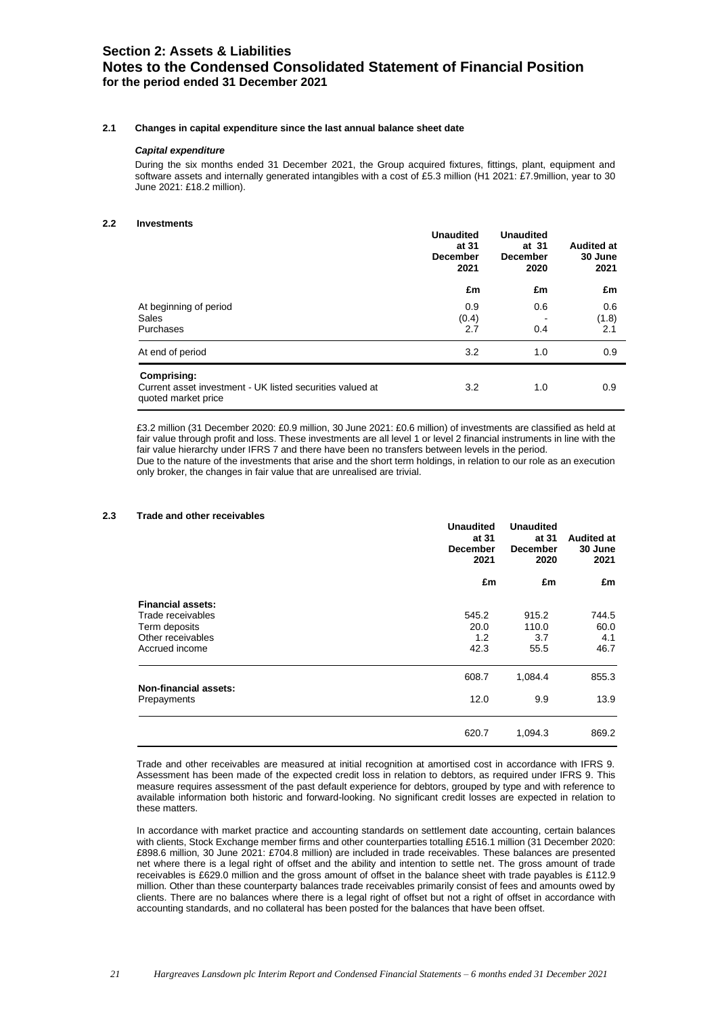# **Section 2: Assets & Liabilities Notes to the Condensed Consolidated Statement of Financial Position for the period ended 31 December 2021**

### **2.1 Changes in capital expenditure since the last annual balance sheet date**

### *Capital expenditure*

During the six months ended 31 December 2021, the Group acquired fixtures, fittings, plant, equipment and software assets and internally generated intangibles with a cost of £5.3 million (H1 2021: £7.9million, year to 30 June 2021: £18.2 million).

### **2.2 Investments**

|                                                                                                 | <b>Unaudited</b><br><b>Unaudited</b><br>at 31<br>at 31<br><b>December</b><br><b>December</b><br>2021<br>2020 |            |                     |  | <b>Audited at</b><br>30 June<br>2021 |
|-------------------------------------------------------------------------------------------------|--------------------------------------------------------------------------------------------------------------|------------|---------------------|--|--------------------------------------|
|                                                                                                 | £m                                                                                                           | £m         | £m                  |  |                                      |
| At beginning of period<br>Sales<br>Purchases                                                    | 0.9<br>(0.4)<br>2.7                                                                                          | 0.6<br>0.4 | 0.6<br>(1.8)<br>2.1 |  |                                      |
| At end of period                                                                                | 3.2                                                                                                          | 1.0        | 0.9                 |  |                                      |
| Comprising:<br>Current asset investment - UK listed securities valued at<br>quoted market price | $3.2^{\circ}$                                                                                                | 1.0        | 0.9                 |  |                                      |

£3.2 million (31 December 2020: £0.9 million, 30 June 2021: £0.6 million) of investments are classified as held at fair value through profit and loss. These investments are all level 1 or level 2 financial instruments in line with the fair value hierarchy under IFRS 7 and there have been no transfers between levels in the period. Due to the nature of the investments that arise and the short term holdings, in relation to our role as an execution

only broker, the changes in fair value that are unrealised are trivial.

### **2.3 Trade and other receivables**

|                                             | <b>Unaudited</b><br>at 31<br><b>December</b><br>2021 | <b>Unaudited</b><br>at 31<br><b>December</b><br>2020 | <b>Audited at</b><br>30 June<br>2021 |  |
|---------------------------------------------|------------------------------------------------------|------------------------------------------------------|--------------------------------------|--|
|                                             | £m                                                   | £m                                                   | £m                                   |  |
| <b>Financial assets:</b>                    |                                                      |                                                      |                                      |  |
| Trade receivables                           | 545.2                                                | 915.2                                                | 744.5                                |  |
| Term deposits                               | 20.0                                                 | 110.0                                                | 60.0                                 |  |
| Other receivables                           | 1.2                                                  | 3.7                                                  | 4.1                                  |  |
| Accrued income                              | 42.3                                                 | 55.5                                                 | 46.7                                 |  |
|                                             | 608.7                                                | 1,084.4                                              | 855.3                                |  |
| <b>Non-financial assets:</b><br>Prepayments | 12.0                                                 | 9.9                                                  | 13.9                                 |  |
|                                             | 620.7                                                | 1,094.3                                              | 869.2                                |  |

Trade and other receivables are measured at initial recognition at amortised cost in accordance with IFRS 9. Assessment has been made of the expected credit loss in relation to debtors, as required under IFRS 9. This measure requires assessment of the past default experience for debtors, grouped by type and with reference to available information both historic and forward-looking. No significant credit losses are expected in relation to these matters.

In accordance with market practice and accounting standards on settlement date accounting, certain balances with clients, Stock Exchange member firms and other counterparties totalling £516.1 million (31 December 2020: £898.6 million, 30 June 2021: £704.8 million) are included in trade receivables. These balances are presented net where there is a legal right of offset and the ability and intention to settle net. The gross amount of trade receivables is £629.0 million and the gross amount of offset in the balance sheet with trade payables is £112.9 million. Other than these counterparty balances trade receivables primarily consist of fees and amounts owed by clients. There are no balances where there is a legal right of offset but not a right of offset in accordance with accounting standards, and no collateral has been posted for the balances that have been offset.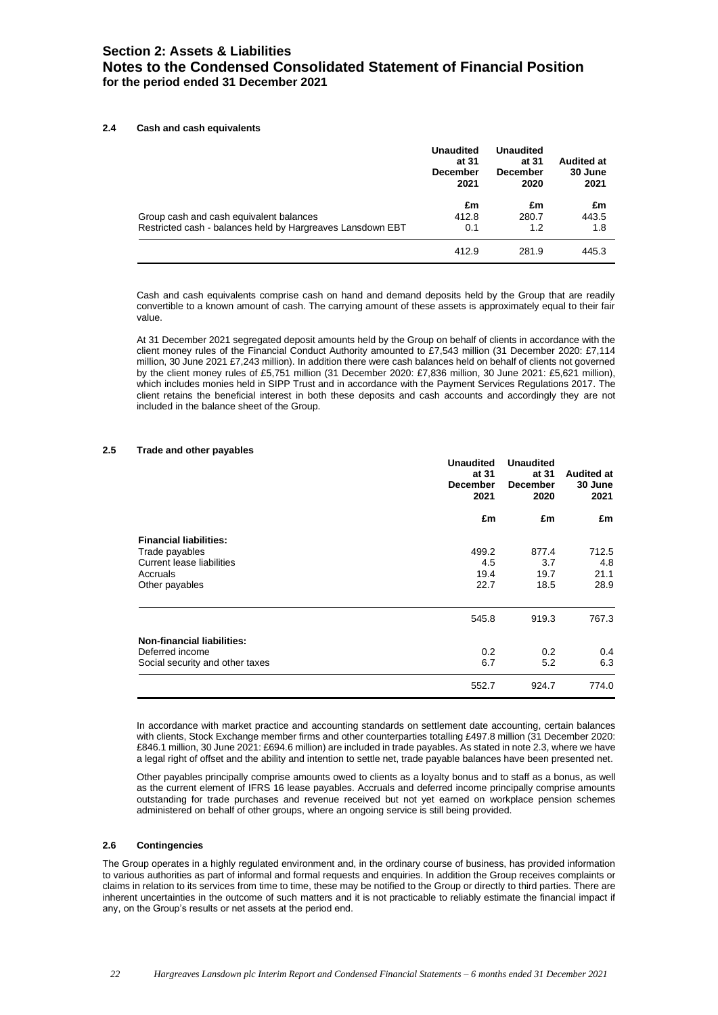# **Section 2: Assets & Liabilities Notes to the Condensed Consolidated Statement of Financial Position for the period ended 31 December 2021**

### **2.4 Cash and cash equivalents**

|                                                            | <b>Unaudited</b><br>at 31<br><b>December</b><br>2021 | <b>Unaudited</b><br>at 31<br><b>December</b><br>2020 | <b>Audited at</b><br>30 June<br>2021 |
|------------------------------------------------------------|------------------------------------------------------|------------------------------------------------------|--------------------------------------|
|                                                            | £m                                                   | £m                                                   | £m                                   |
| Group cash and cash equivalent balances                    | 412.8                                                | 280.7                                                | 443.5                                |
| Restricted cash - balances held by Hargreaves Lansdown EBT | 0.1                                                  | 1.2                                                  | 1.8                                  |
|                                                            | 412.9                                                | 281.9                                                | 445.3                                |

Cash and cash equivalents comprise cash on hand and demand deposits held by the Group that are readily convertible to a known amount of cash. The carrying amount of these assets is approximately equal to their fair value.

At 31 December 2021 segregated deposit amounts held by the Group on behalf of clients in accordance with the client money rules of the Financial Conduct Authority amounted to £7,543 million (31 December 2020: £7,114 million, 30 June 2021 £7,243 million). In addition there were cash balances held on behalf of clients not governed by the client money rules of £5,751 million (31 December 2020: £7,836 million, 30 June 2021: £5,621 million), which includes monies held in SIPP Trust and in accordance with the Payment Services Regulations 2017. The client retains the beneficial interest in both these deposits and cash accounts and accordingly they are not included in the balance sheet of the Group.

### **2.5 Trade and other payables**

|                                   | <b>Unaudited</b><br>at 31<br><b>December</b><br>2021 | <b>Unaudited</b><br>at 31<br><b>December</b><br>2020 | <b>Audited at</b><br>30 June<br>2021 |
|-----------------------------------|------------------------------------------------------|------------------------------------------------------|--------------------------------------|
|                                   | £m                                                   | £m                                                   | £m                                   |
| <b>Financial liabilities:</b>     |                                                      |                                                      |                                      |
| Trade payables                    | 499.2                                                | 877.4                                                | 712.5                                |
| Current lease liabilities         | 4.5                                                  | 3.7                                                  | 4.8                                  |
| Accruals                          | 19.4                                                 | 19.7                                                 | 21.1                                 |
| Other payables                    | 22.7                                                 | 18.5                                                 | 28.9                                 |
|                                   | 545.8                                                | 919.3                                                | 767.3                                |
| <b>Non-financial liabilities:</b> |                                                      |                                                      |                                      |
| Deferred income                   | 0.2                                                  | 0.2                                                  | 0.4                                  |
| Social security and other taxes   | 6.7                                                  | 5.2                                                  | 6.3                                  |
|                                   | 552.7                                                | 924.7                                                | 774.0                                |

In accordance with market practice and accounting standards on settlement date accounting, certain balances with clients, Stock Exchange member firms and other counterparties totalling £497.8 million (31 December 2020: £846.1 million, 30 June 2021: £694.6 million) are included in trade payables. As stated in note 2.3, where we have a legal right of offset and the ability and intention to settle net, trade payable balances have been presented net.

Other payables principally comprise amounts owed to clients as a loyalty bonus and to staff as a bonus, as well as the current element of IFRS 16 lease payables. Accruals and deferred income principally comprise amounts outstanding for trade purchases and revenue received but not yet earned on workplace pension schemes administered on behalf of other groups, where an ongoing service is still being provided.

### **2.6 Contingencies**

The Group operates in a highly regulated environment and, in the ordinary course of business, has provided information to various authorities as part of informal and formal requests and enquiries. In addition the Group receives complaints or claims in relation to its services from time to time, these may be notified to the Group or directly to third parties. There are inherent uncertainties in the outcome of such matters and it is not practicable to reliably estimate the financial impact if any, on the Group's results or net assets at the period end.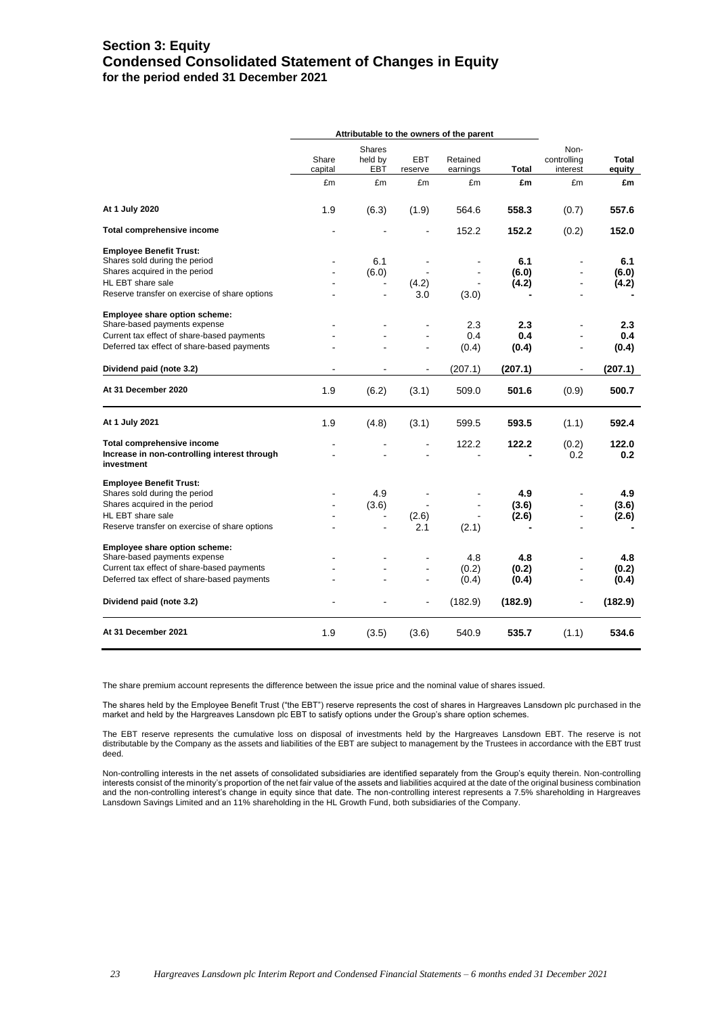# **Section 3: Equity Condensed Consolidated Statement of Changes in Equity for the period ended 31 December 2021**

|                                                            | Attributable to the owners of the parent |                          |                       |                      |                  |                                 |                  |
|------------------------------------------------------------|------------------------------------------|--------------------------|-----------------------|----------------------|------------------|---------------------------------|------------------|
|                                                            | Share<br>capital                         | Shares<br>held by<br>EBT | <b>EBT</b><br>reserve | Retained<br>earnings | <b>Total</b>     | Non-<br>controlling<br>interest | Total<br>equity  |
|                                                            | £m                                       | £m                       | £m                    | £m                   | £m               | £m                              | £m               |
| At 1 July 2020                                             | 1.9                                      | (6.3)                    | (1.9)                 | 564.6                | 558.3            | (0.7)                           | 557.6            |
| Total comprehensive income                                 |                                          |                          |                       | 152.2                | 152.2            | (0.2)                           | 152.0            |
| <b>Employee Benefit Trust:</b>                             |                                          |                          |                       |                      |                  |                                 |                  |
| Shares sold during the period                              |                                          | 6.1                      |                       |                      | 6.1              |                                 | 6.1              |
| Shares acquired in the period                              |                                          | (6.0)                    |                       |                      | (6.0)            |                                 | (6.0)            |
| HL EBT share sale                                          |                                          |                          | (4.2)                 |                      | (4.2)            |                                 | (4.2)            |
| Reserve transfer on exercise of share options              |                                          |                          | 3.0                   | (3.0)                |                  |                                 |                  |
| Employee share option scheme:                              |                                          |                          |                       |                      |                  |                                 |                  |
| Share-based payments expense                               |                                          |                          | $\blacksquare$        | 2.3                  | $2.3\phantom{0}$ |                                 | $2.3\phantom{0}$ |
| Current tax effect of share-based payments                 |                                          |                          |                       | 0.4                  | 0.4              |                                 | 0.4              |
| Deferred tax effect of share-based payments                |                                          |                          | $\blacksquare$        | (0.4)                | (0.4)            | L,                              | (0.4)            |
| Dividend paid (note 3.2)                                   |                                          |                          | $\blacksquare$        | (207.1)              | (207.1)          |                                 | (207.1)          |
| At 31 December 2020                                        | 1.9                                      | (6.2)                    | (3.1)                 | 509.0                | 501.6            | (0.9)                           | 500.7            |
| At 1 July 2021                                             | 1.9                                      | (4.8)                    | (3.1)                 | 599.5                | 593.5            | (1.1)                           | 592.4            |
| Total comprehensive income                                 |                                          |                          |                       | 122.2                | 122.2            | (0.2)                           | 122.0            |
| Increase in non-controlling interest through<br>investment |                                          |                          |                       |                      |                  | 0.2                             | 0.2              |
| <b>Employee Benefit Trust:</b>                             |                                          |                          |                       |                      |                  |                                 |                  |
| Shares sold during the period                              |                                          | 4.9                      |                       |                      | 4.9              |                                 | 4.9              |
| Shares acquired in the period                              | $\blacksquare$                           | (3.6)                    | $\blacksquare$        | $\blacksquare$       | (3.6)            |                                 | (3.6)            |
| HL EBT share sale                                          |                                          | $\overline{\phantom{a}}$ | (2.6)                 |                      | (2.6)            |                                 | (2.6)            |
| Reserve transfer on exercise of share options              | $\blacksquare$                           | $\blacksquare$           | 2.1                   | (2.1)                |                  |                                 |                  |
| Employee share option scheme:                              |                                          |                          |                       |                      |                  |                                 |                  |
| Share-based payments expense                               |                                          |                          |                       | 4.8                  | 4.8              |                                 | 4.8              |
| Current tax effect of share-based payments                 |                                          |                          | $\blacksquare$        | (0.2)                | (0.2)            |                                 | (0.2)            |
| Deferred tax effect of share-based payments                |                                          |                          |                       | (0.4)                | (0.4)            |                                 | (0.4)            |
| Dividend paid (note 3.2)                                   |                                          |                          |                       | (182.9)              | (182.9)          |                                 | (182.9)          |
| At 31 December 2021                                        | 1.9                                      | (3.5)                    | (3.6)                 | 540.9                | 535.7            | (1.1)                           | 534.6            |

The share premium account represents the difference between the issue price and the nominal value of shares issued.

The shares held by the Employee Benefit Trust ("the EBT") reserve represents the cost of shares in Hargreaves Lansdown plc purchased in the market and held by the Hargreaves Lansdown plc EBT to satisfy options under the Group's share option schemes.

The EBT reserve represents the cumulative loss on disposal of investments held by the Hargreaves Lansdown EBT. The reserve is not distributable by the Company as the assets and liabilities of the EBT are subject to management by the Trustees in accordance with the EBT trust deed.

Non-controlling interests in the net assets of consolidated subsidiaries are identified separately from the Group's equity therein. Non-controlling interests consist of the minority's proportion of the net fair value of the assets and liabilities acquired at the date of the original business combination and the non-controlling interest's change in equity since that date. The non-controlling interest represents a 7.5% shareholding in Hargreaves Lansdown Savings Limited and an 11% shareholding in the HL Growth Fund, both subsidiaries of the Company.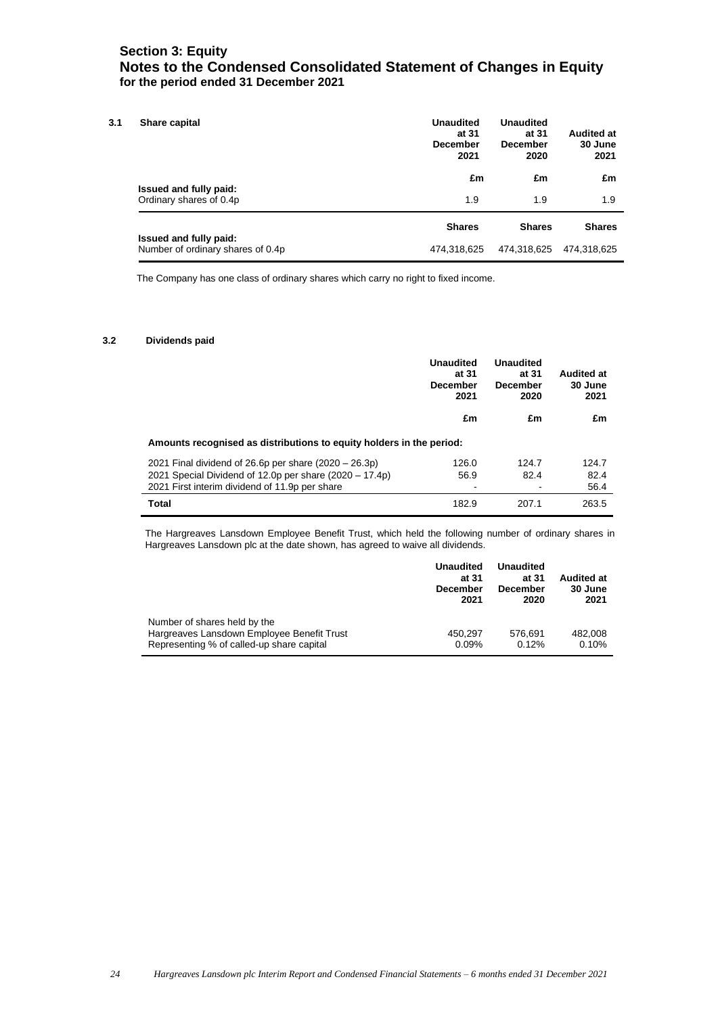# **Section 3: Equity Notes to the Condensed Consolidated Statement of Changes in Equity for the period ended 31 December 2021**

| Share capital                                               | <b>Unaudited</b><br>at 31<br><b>December</b><br>2021 | <b>Unaudited</b><br>at 31<br><b>December</b><br>2020 | <b>Audited at</b><br>30 June<br>2021 |
|-------------------------------------------------------------|------------------------------------------------------|------------------------------------------------------|--------------------------------------|
|                                                             | £m                                                   | £m                                                   | £m                                   |
| Issued and fully paid:<br>Ordinary shares of 0.4p           | 1.9                                                  | 1.9                                                  | 1.9                                  |
|                                                             | <b>Shares</b>                                        | <b>Shares</b>                                        | <b>Shares</b>                        |
| Issued and fully paid:<br>Number of ordinary shares of 0.4p | 474,318,625                                          | 474,318,625                                          | 474,318,625                          |

The Company has one class of ordinary shares which carry no right to fixed income.

### **3.2 Dividends paid**

|                                                                      | <b>Unaudited</b><br>at 31<br><b>December</b><br>2021 | <b>Unaudited</b><br>at 31<br><b>December</b><br>2020 | <b>Audited at</b><br>30 June<br>2021 |
|----------------------------------------------------------------------|------------------------------------------------------|------------------------------------------------------|--------------------------------------|
|                                                                      | £m                                                   | £m                                                   | £m                                   |
| Amounts recognised as distributions to equity holders in the period: |                                                      |                                                      |                                      |
| 2021 Final dividend of 26.6p per share $(2020 - 26.3p)$              | 126.0                                                | 124.7                                                | 124.7                                |
| 2021 Special Dividend of 12.0p per share $(2020 - 17.4p)$            | 56.9                                                 | 82.4                                                 | 82.4                                 |
| 2021 First interim dividend of 11.9p per share                       |                                                      |                                                      | 56.4                                 |
| <b>Total</b>                                                         | 182.9                                                | 207.1                                                | 263.5                                |

The Hargreaves Lansdown Employee Benefit Trust, which held the following number of ordinary shares in Hargreaves Lansdown plc at the date shown, has agreed to waive all dividends.

|                                                                                                                         | <b>Unaudited</b><br>at 31<br><b>December</b><br>2021 | <b>Unaudited</b><br>at 31<br><b>December</b><br>2020 | <b>Audited at</b><br>30 June<br>2021 |
|-------------------------------------------------------------------------------------------------------------------------|------------------------------------------------------|------------------------------------------------------|--------------------------------------|
| Number of shares held by the<br>Hargreaves Lansdown Employee Benefit Trust<br>Representing % of called-up share capital | 450.297<br>0.09%                                     | 576.691<br>0.12%                                     | 482.008<br>0.10%                     |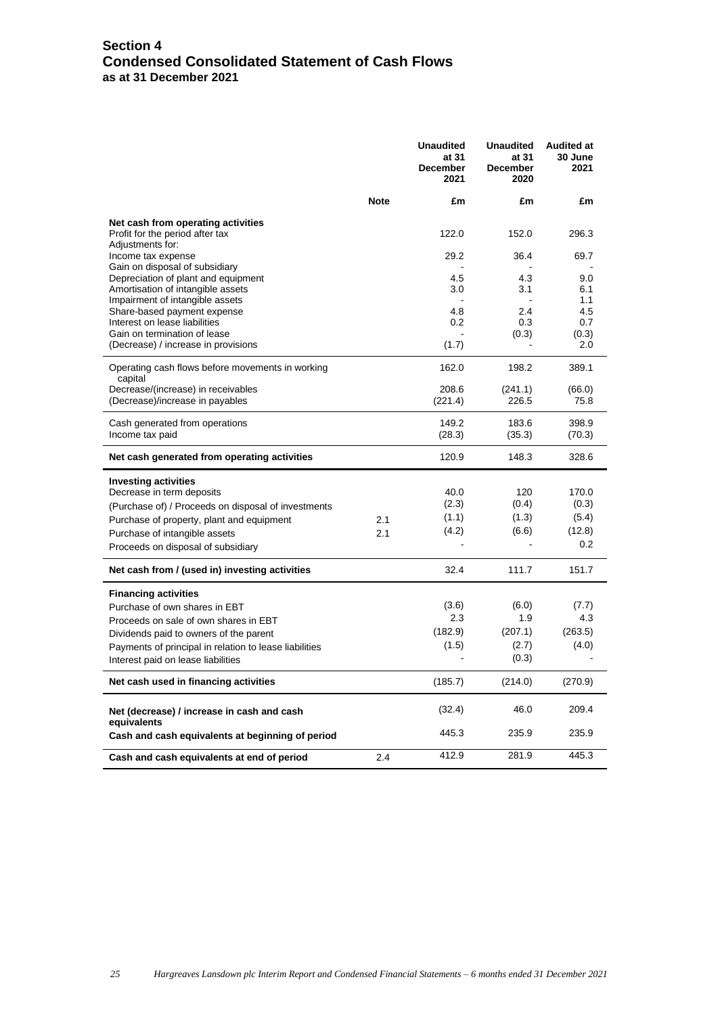# **Section 4 Condensed Consolidated Statement of Cash Flows as at 31 December 2021**

|                                                                       |             | <b>Unaudited</b><br>at 31<br><b>December</b><br>2021 | <b>Unaudited</b><br>at 31<br><b>December</b><br>2020 | <b>Audited at</b><br>30 June<br>2021 |
|-----------------------------------------------------------------------|-------------|------------------------------------------------------|------------------------------------------------------|--------------------------------------|
|                                                                       | <b>Note</b> | £m                                                   | £m                                                   | £m                                   |
| Net cash from operating activities                                    |             |                                                      |                                                      |                                      |
| Profit for the period after tax<br>Adjustments for:                   |             | 122.0                                                | 152.0                                                | 296.3                                |
| Income tax expense                                                    |             | 29.2                                                 | 36.4                                                 | 69.7                                 |
| Gain on disposal of subsidiary<br>Depreciation of plant and equipment |             | 4.5                                                  | 4.3                                                  | 9.0                                  |
| Amortisation of intangible assets                                     |             | 3.0                                                  | 3.1                                                  | 6.1                                  |
| Impairment of intangible assets                                       |             |                                                      |                                                      | 1.1                                  |
| Share-based payment expense                                           |             | 4.8                                                  | 2.4                                                  | 4.5                                  |
| Interest on lease liabilities<br>Gain on termination of lease         |             | 0.2                                                  | 0.3<br>(0.3)                                         | 0.7<br>(0.3)                         |
| (Decrease) / increase in provisions                                   |             | (1.7)                                                |                                                      | 2.0                                  |
| Operating cash flows before movements in working                      |             | 162.0                                                | 198.2                                                | 389.1                                |
| capital<br>Decrease/(increase) in receivables                         |             | 208.6                                                | (241.1)                                              | (66.0)                               |
| (Decrease)/increase in payables                                       |             | (221.4)                                              | 226.5                                                | 75.8                                 |
| Cash generated from operations                                        |             | 149.2                                                | 183.6                                                | 398.9                                |
| Income tax paid                                                       |             | (28.3)                                               | (35.3)                                               | (70.3)                               |
| Net cash generated from operating activities                          |             | 120.9                                                | 148.3                                                | 328.6                                |
| <b>Investing activities</b>                                           |             |                                                      |                                                      |                                      |
| Decrease in term deposits                                             |             | 40.0                                                 | 120                                                  | 170.0                                |
| (Purchase of) / Proceeds on disposal of investments                   |             | (2.3)                                                | (0.4)                                                | (0.3)                                |
| Purchase of property, plant and equipment                             | 2.1         | (1.1)                                                | (1.3)                                                | (5.4)                                |
| Purchase of intangible assets                                         | 2.1         | (4.2)                                                | (6.6)                                                | (12.8)<br>0.2                        |
| Proceeds on disposal of subsidiary                                    |             |                                                      |                                                      |                                      |
| Net cash from / (used in) investing activities                        |             | 32.4                                                 | 111.7                                                | 151.7                                |
| <b>Financing activities</b>                                           |             |                                                      |                                                      |                                      |
| Purchase of own shares in EBT                                         |             | (3.6)                                                | (6.0)                                                | (7.7)                                |
| Proceeds on sale of own shares in EBT                                 |             | 2.3                                                  | 1.9                                                  | 4.3                                  |
| Dividends paid to owners of the parent                                |             | (182.9)                                              | (207.1)                                              | (263.5)                              |
| Payments of principal in relation to lease liabilities                |             | (1.5)                                                | (2.7)                                                | (4.0)                                |
| Interest paid on lease liabilities                                    |             |                                                      | (0.3)                                                |                                      |
| Net cash used in financing activities                                 |             | (185.7)                                              | (214.0)                                              | (270.9)                              |
| Net (decrease) / increase in cash and cash                            |             | (32.4)                                               | 46.0                                                 | 209.4                                |
| equivalents<br>Cash and cash equivalents at beginning of period       |             | 445.3                                                | 235.9                                                | 235.9                                |
| Cash and cash equivalents at end of period                            | 2.4         | 412.9                                                | 281.9                                                | 445.3                                |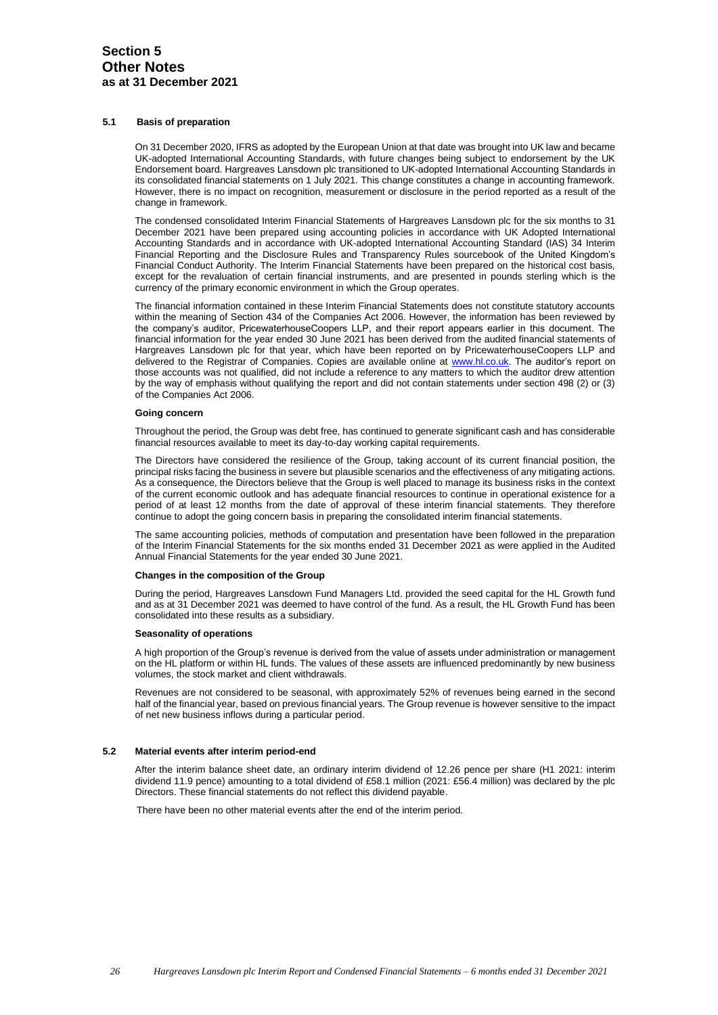### **5.1 Basis of preparation**

On 31 December 2020, IFRS as adopted by the European Union at that date was brought into UK law and became UK-adopted International Accounting Standards, with future changes being subject to endorsement by the UK Endorsement board. Hargreaves Lansdown plc transitioned to UK-adopted International Accounting Standards in its consolidated financial statements on 1 July 2021. This change constitutes a change in accounting framework. However, there is no impact on recognition, measurement or disclosure in the period reported as a result of the change in framework.

The condensed consolidated Interim Financial Statements of Hargreaves Lansdown plc for the six months to 31 December 2021 have been prepared using accounting policies in accordance with UK Adopted International Accounting Standards and in accordance with UK-adopted International Accounting Standard (IAS) 34 Interim Financial Reporting and the Disclosure Rules and Transparency Rules sourcebook of the United Kingdom's Financial Conduct Authority. The Interim Financial Statements have been prepared on the historical cost basis, except for the revaluation of certain financial instruments, and are presented in pounds sterling which is the currency of the primary economic environment in which the Group operates.

The financial information contained in these Interim Financial Statements does not constitute statutory accounts within the meaning of Section 434 of the Companies Act 2006. However, the information has been reviewed by the company's auditor, PricewaterhouseCoopers LLP, and their report appears earlier in this document. The financial information for the year ended 30 June 2021 has been derived from the audited financial statements of Hargreaves Lansdown plc for that year, which have been reported on by PricewaterhouseCoopers LLP and delivered to the Registrar of Companies. Copies are available online at [www.hl.co.uk.](http://www.hl.co.uk/) The auditor's report on those accounts was not qualified, did not include a reference to any matters to which the auditor drew attention by the way of emphasis without qualifying the report and did not contain statements under section 498 (2) or (3) of the Companies Act 2006.

### **Going concern**

Throughout the period, the Group was debt free, has continued to generate significant cash and has considerable financial resources available to meet its day-to-day working capital requirements.

The Directors have considered the resilience of the Group, taking account of its current financial position, the principal risks facing the business in severe but plausible scenarios and the effectiveness of any mitigating actions. As a consequence, the Directors believe that the Group is well placed to manage its business risks in the context of the current economic outlook and has adequate financial resources to continue in operational existence for a period of at least 12 months from the date of approval of these interim financial statements. They therefore continue to adopt the going concern basis in preparing the consolidated interim financial statements.

The same accounting policies, methods of computation and presentation have been followed in the preparation of the Interim Financial Statements for the six months ended 31 December 2021 as were applied in the Audited Annual Financial Statements for the year ended 30 June 2021.

### **Changes in the composition of the Group**

During the period, Hargreaves Lansdown Fund Managers Ltd. provided the seed capital for the HL Growth fund and as at 31 December 2021 was deemed to have control of the fund. As a result, the HL Growth Fund has been consolidated into these results as a subsidiary.

### **Seasonality of operations**

A high proportion of the Group's revenue is derived from the value of assets under administration or management on the HL platform or within HL funds. The values of these assets are influenced predominantly by new business volumes, the stock market and client withdrawals.

Revenues are not considered to be seasonal, with approximately 52% of revenues being earned in the second half of the financial year, based on previous financial years. The Group revenue is however sensitive to the impact of net new business inflows during a particular period.

### **5.2 Material events after interim period-end**

After the interim balance sheet date, an ordinary interim dividend of 12.26 pence per share (H1 2021: interim dividend 11.9 pence) amounting to a total dividend of £58.1 million (2021: £56.4 million) was declared by the plc Directors. These financial statements do not reflect this dividend payable.

There have been no other material events after the end of the interim period.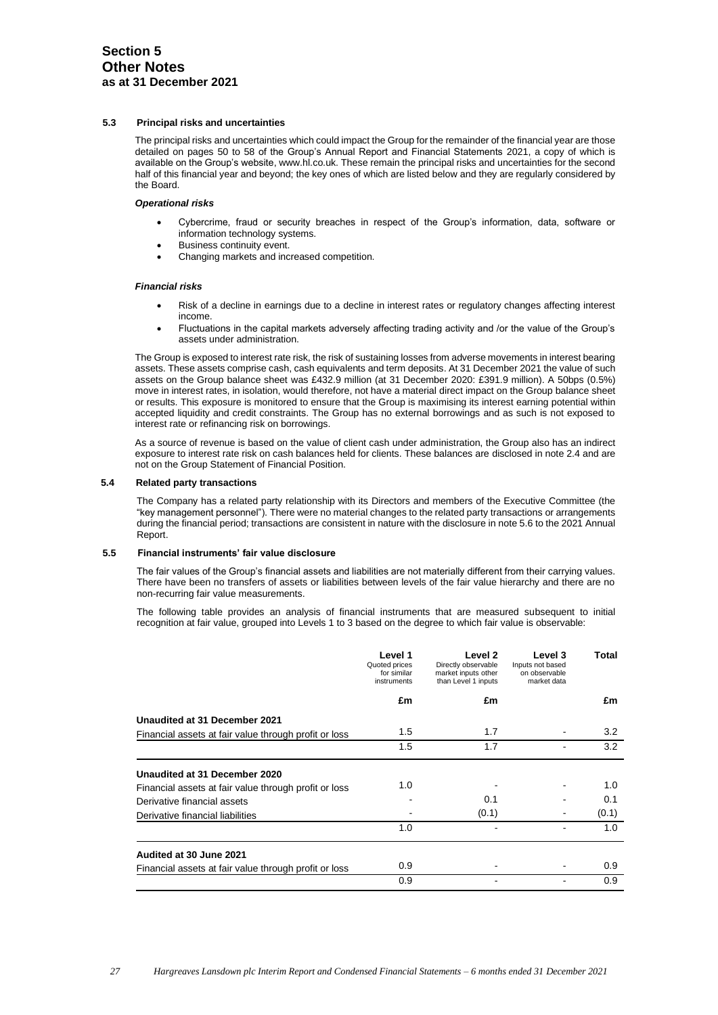### **5.3 Principal risks and uncertainties**

The principal risks and uncertainties which could impact the Group for the remainder of the financial year are those detailed on pages 50 to 58 of the Group's Annual Report and Financial Statements 2021, a copy of which is available on the Group's website, www.hl.co.uk. These remain the principal risks and uncertainties for the second half of this financial year and beyond; the key ones of which are listed below and they are regularly considered by the Board.

### *Operational risks*

- Cybercrime, fraud or security breaches in respect of the Group's information, data, software or information technology systems.
- Business continuity event.
- Changing markets and increased competition.

### *Financial risks*

- Risk of a decline in earnings due to a decline in interest rates or regulatory changes affecting interest income.
- Fluctuations in the capital markets adversely affecting trading activity and /or the value of the Group's assets under administration.

The Group is exposed to interest rate risk, the risk of sustaining losses from adverse movements in interest bearing assets. These assets comprise cash, cash equivalents and term deposits. At 31 December 2021 the value of such assets on the Group balance sheet was £432.9 million (at 31 December 2020: £391.9 million). A 50bps (0.5%) move in interest rates, in isolation, would therefore, not have a material direct impact on the Group balance sheet or results. This exposure is monitored to ensure that the Group is maximising its interest earning potential within accepted liquidity and credit constraints. The Group has no external borrowings and as such is not exposed to interest rate or refinancing risk on borrowings.

As a source of revenue is based on the value of client cash under administration, the Group also has an indirect exposure to interest rate risk on cash balances held for clients. These balances are disclosed in note 2.4 and are not on the Group Statement of Financial Position.

### **5.4 Related party transactions**

The Company has a related party relationship with its Directors and members of the Executive Committee (the "key management personnel"). There were no material changes to the related party transactions or arrangements during the financial period; transactions are consistent in nature with the disclosure in note 5.6 to the 2021 Annual Report.

### **5.5 Financial instruments' fair value disclosure**

The fair values of the Group's financial assets and liabilities are not materially different from their carrying values. There have been no transfers of assets or liabilities between levels of the fair value hierarchy and there are no non-recurring fair value measurements.

The following table provides an analysis of financial instruments that are measured subsequent to initial recognition at fair value, grouped into Levels 1 to 3 based on the degree to which fair value is observable:

|                                                       | Level 1<br>Quoted prices<br>for similar<br>instruments | Level 2<br>Directly observable<br>market inputs other<br>than Level 1 inputs | Level 3<br>Inputs not based<br>on observable<br>market data | Total |
|-------------------------------------------------------|--------------------------------------------------------|------------------------------------------------------------------------------|-------------------------------------------------------------|-------|
|                                                       | £m                                                     | £m                                                                           |                                                             | £m    |
| Unaudited at 31 December 2021                         |                                                        |                                                                              |                                                             |       |
| Financial assets at fair value through profit or loss | 1.5                                                    | 1.7                                                                          |                                                             | 3.2   |
|                                                       | 1.5                                                    | 1.7                                                                          |                                                             | 3.2   |
| Unaudited at 31 December 2020                         |                                                        |                                                                              |                                                             |       |
| Financial assets at fair value through profit or loss | 1.0                                                    |                                                                              |                                                             | 1.0   |
| Derivative financial assets                           |                                                        | 0.1                                                                          |                                                             | 0.1   |
| Derivative financial liabilities                      |                                                        | (0.1)                                                                        |                                                             | (0.1) |
|                                                       | 1.0                                                    |                                                                              |                                                             | 1.0   |
| Audited at 30 June 2021                               |                                                        |                                                                              |                                                             |       |
| Financial assets at fair value through profit or loss | 0.9                                                    |                                                                              |                                                             | 0.9   |
|                                                       | 0.9                                                    |                                                                              |                                                             | 0.9   |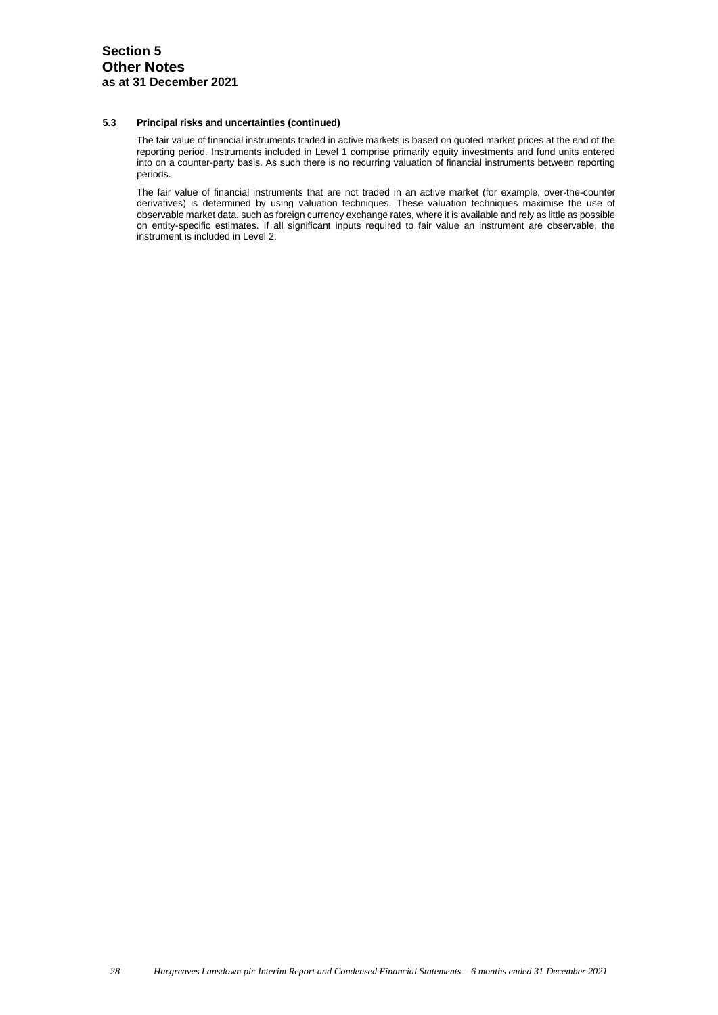### **5.3 Principal risks and uncertainties (continued)**

The fair value of financial instruments traded in active markets is based on quoted market prices at the end of the reporting period. Instruments included in Level 1 comprise primarily equity investments and fund units entered into on a counter-party basis. As such there is no recurring valuation of financial instruments between reporting periods.

The fair value of financial instruments that are not traded in an active market (for example, over-the-counter derivatives) is determined by using valuation techniques. These valuation techniques maximise the use of observable market data, such as foreign currency exchange rates, where it is available and rely as little as possible on entity-specific estimates. If all significant inputs required to fair value an instrument are observable, the instrument is included in Level 2.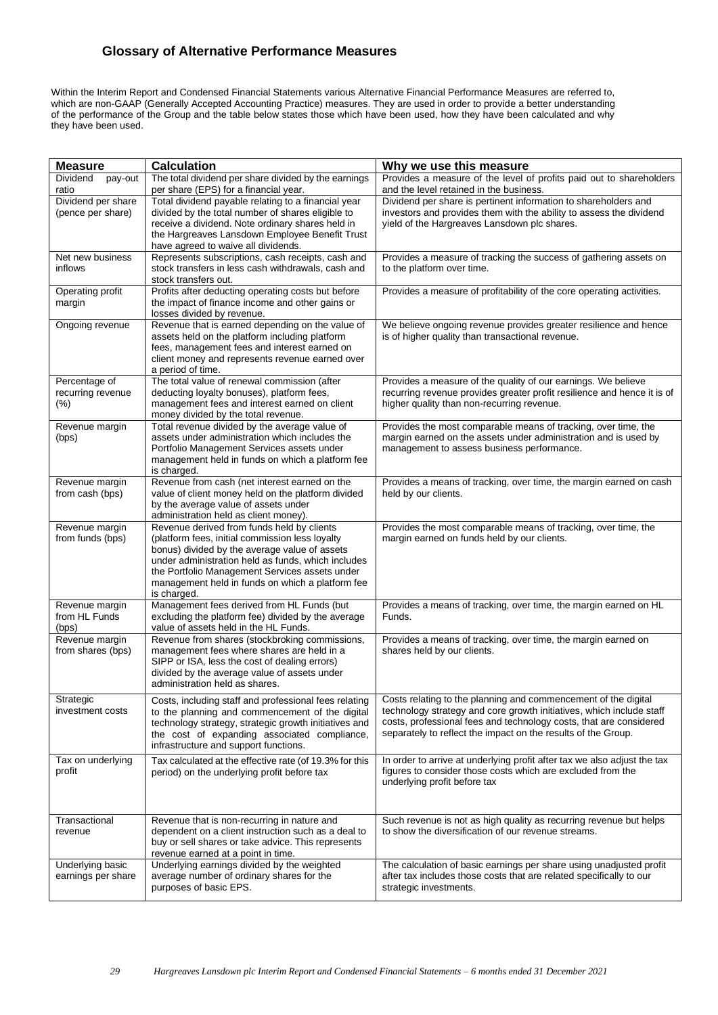# **Glossary of Alternative Performance Measures**

Within the Interim Report and Condensed Financial Statements various Alternative Financial Performance Measures are referred to, which are non-GAAP (Generally Accepted Accounting Practice) measures. They are used in order to provide a better understanding of the performance of the Group and the table below states those which have been used, how they have been calculated and why they have been used.

| <b>Measure</b>                               | <b>Calculation</b>                                                                                                                                                                                                                                                                                                        | Why we use this measure                                                                                                                                                                                                                                                       |
|----------------------------------------------|---------------------------------------------------------------------------------------------------------------------------------------------------------------------------------------------------------------------------------------------------------------------------------------------------------------------------|-------------------------------------------------------------------------------------------------------------------------------------------------------------------------------------------------------------------------------------------------------------------------------|
| Dividend<br>pay-out<br>ratio                 | The total dividend per share divided by the earnings<br>per share (EPS) for a financial year.                                                                                                                                                                                                                             | Provides a measure of the level of profits paid out to shareholders<br>and the level retained in the business.                                                                                                                                                                |
| Dividend per share<br>(pence per share)      | Total dividend payable relating to a financial year<br>divided by the total number of shares eligible to<br>receive a dividend. Note ordinary shares held in<br>the Hargreaves Lansdown Employee Benefit Trust<br>have agreed to waive all dividends.                                                                     | Dividend per share is pertinent information to shareholders and<br>investors and provides them with the ability to assess the dividend<br>yield of the Hargreaves Lansdown plc shares.                                                                                        |
| Net new business<br>inflows                  | Represents subscriptions, cash receipts, cash and<br>stock transfers in less cash withdrawals, cash and<br>stock transfers out.                                                                                                                                                                                           | Provides a measure of tracking the success of gathering assets on<br>to the platform over time.                                                                                                                                                                               |
| Operating profit<br>margin                   | Profits after deducting operating costs but before<br>the impact of finance income and other gains or<br>losses divided by revenue.                                                                                                                                                                                       | Provides a measure of profitability of the core operating activities.                                                                                                                                                                                                         |
| Ongoing revenue                              | Revenue that is earned depending on the value of<br>assets held on the platform including platform<br>fees, management fees and interest earned on<br>client money and represents revenue earned over<br>a period of time.                                                                                                | We believe ongoing revenue provides greater resilience and hence<br>is of higher quality than transactional revenue.                                                                                                                                                          |
| Percentage of<br>recurring revenue<br>$(\%)$ | The total value of renewal commission (after<br>deducting loyalty bonuses), platform fees,<br>management fees and interest earned on client<br>money divided by the total revenue.                                                                                                                                        | Provides a measure of the quality of our earnings. We believe<br>recurring revenue provides greater profit resilience and hence it is of<br>higher quality than non-recurring revenue.                                                                                        |
| Revenue margin<br>(bps)                      | Total revenue divided by the average value of<br>assets under administration which includes the<br>Portfolio Management Services assets under<br>management held in funds on which a platform fee<br>is charged.                                                                                                          | Provides the most comparable means of tracking, over time, the<br>margin earned on the assets under administration and is used by<br>management to assess business performance.                                                                                               |
| Revenue margin<br>from cash (bps)            | Revenue from cash (net interest earned on the<br>value of client money held on the platform divided<br>by the average value of assets under<br>administration held as client money).                                                                                                                                      | Provides a means of tracking, over time, the margin earned on cash<br>held by our clients.                                                                                                                                                                                    |
| Revenue margin<br>from funds (bps)           | Revenue derived from funds held by clients<br>(platform fees, initial commission less loyalty<br>bonus) divided by the average value of assets<br>under administration held as funds, which includes<br>the Portfolio Management Services assets under<br>management held in funds on which a platform fee<br>is charged. | Provides the most comparable means of tracking, over time, the<br>margin earned on funds held by our clients.                                                                                                                                                                 |
| Revenue margin<br>from HL Funds<br>(bps)     | Management fees derived from HL Funds (but<br>excluding the platform fee) divided by the average<br>value of assets held in the HL Funds.                                                                                                                                                                                 | Provides a means of tracking, over time, the margin earned on HL<br>Funds.                                                                                                                                                                                                    |
| Revenue margin<br>from shares (bps)          | Revenue from shares (stockbroking commissions,<br>management fees where shares are held in a<br>SIPP or ISA, less the cost of dealing errors)<br>divided by the average value of assets under<br>administration held as shares.                                                                                           | Provides a means of tracking, over time, the margin earned on<br>shares held by our clients.                                                                                                                                                                                  |
| Strategic<br>investment costs                | Costs, including staff and professional fees relating<br>to the planning and commencement of the digital<br>technology strategy, strategic growth initiatives and<br>the cost of expanding associated compliance,<br>infrastructure and support functions.                                                                | Costs relating to the planning and commencement of the digital<br>technology strategy and core growth initiatives, which include staff<br>costs, professional fees and technology costs, that are considered<br>separately to reflect the impact on the results of the Group. |
| Tax on underlying<br>profit                  | Tax calculated at the effective rate (of 19.3% for this<br>period) on the underlying profit before tax                                                                                                                                                                                                                    | In order to arrive at underlying profit after tax we also adjust the tax<br>figures to consider those costs which are excluded from the<br>underlying profit before tax                                                                                                       |
| Transactional<br>revenue                     | Revenue that is non-recurring in nature and<br>dependent on a client instruction such as a deal to<br>buy or sell shares or take advice. This represents<br>revenue earned at a point in time.                                                                                                                            | Such revenue is not as high quality as recurring revenue but helps<br>to show the diversification of our revenue streams.                                                                                                                                                     |
| Underlying basic<br>earnings per share       | Underlying earnings divided by the weighted<br>average number of ordinary shares for the<br>purposes of basic EPS.                                                                                                                                                                                                        | The calculation of basic earnings per share using unadjusted profit<br>after tax includes those costs that are related specifically to our<br>strategic investments.                                                                                                          |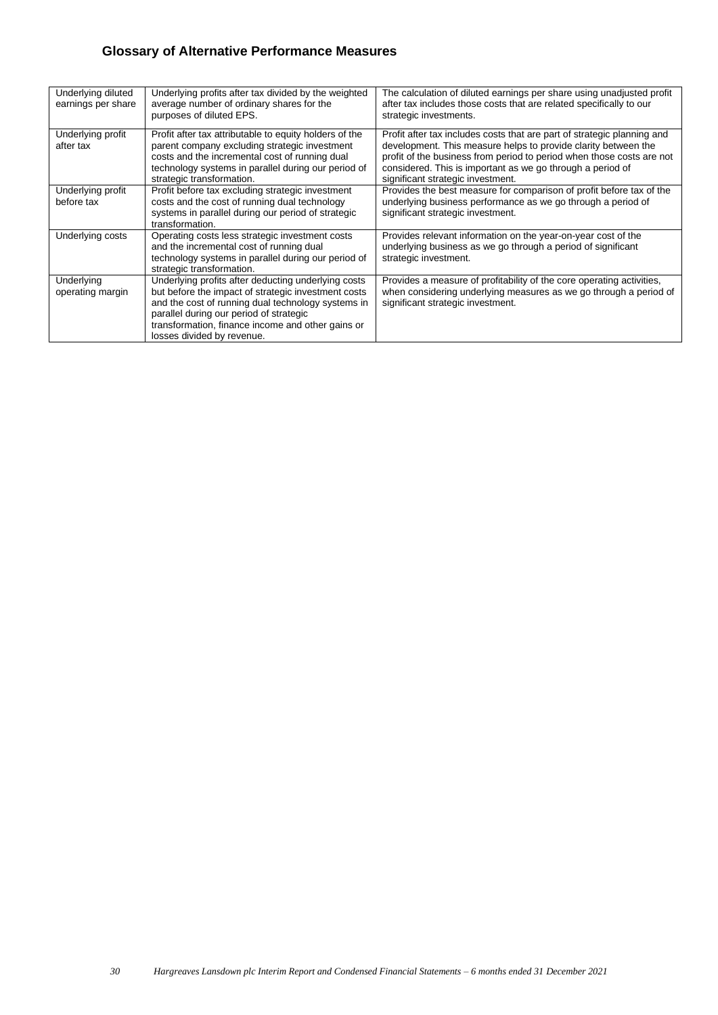# **Glossary of Alternative Performance Measures**

| Underlying diluted<br>earnings per share | Underlying profits after tax divided by the weighted<br>average number of ordinary shares for the<br>purposes of diluted EPS.                                                                                                                                                                  | The calculation of diluted earnings per share using unadjusted profit<br>after tax includes those costs that are related specifically to our<br>strategic investments.                                                                                                                                                |
|------------------------------------------|------------------------------------------------------------------------------------------------------------------------------------------------------------------------------------------------------------------------------------------------------------------------------------------------|-----------------------------------------------------------------------------------------------------------------------------------------------------------------------------------------------------------------------------------------------------------------------------------------------------------------------|
| Underlying profit<br>after tax           | Profit after tax attributable to equity holders of the<br>parent company excluding strategic investment<br>costs and the incremental cost of running dual<br>technology systems in parallel during our period of<br>strategic transformation.                                                  | Profit after tax includes costs that are part of strategic planning and<br>development. This measure helps to provide clarity between the<br>profit of the business from period to period when those costs are not<br>considered. This is important as we go through a period of<br>significant strategic investment. |
| Underlying profit<br>before tax          | Profit before tax excluding strategic investment<br>costs and the cost of running dual technology<br>systems in parallel during our period of strategic<br>transformation.                                                                                                                     | Provides the best measure for comparison of profit before tax of the<br>underlying business performance as we go through a period of<br>significant strategic investment.                                                                                                                                             |
| Underlying costs                         | Operating costs less strategic investment costs<br>and the incremental cost of running dual<br>technology systems in parallel during our period of<br>strategic transformation.                                                                                                                | Provides relevant information on the year-on-year cost of the<br>underlying business as we go through a period of significant<br>strategic investment.                                                                                                                                                                |
| Underlying<br>operating margin           | Underlying profits after deducting underlying costs<br>but before the impact of strategic investment costs<br>and the cost of running dual technology systems in<br>parallel during our period of strategic<br>transformation, finance income and other gains or<br>losses divided by revenue. | Provides a measure of profitability of the core operating activities,<br>when considering underlying measures as we go through a period of<br>significant strategic investment.                                                                                                                                       |